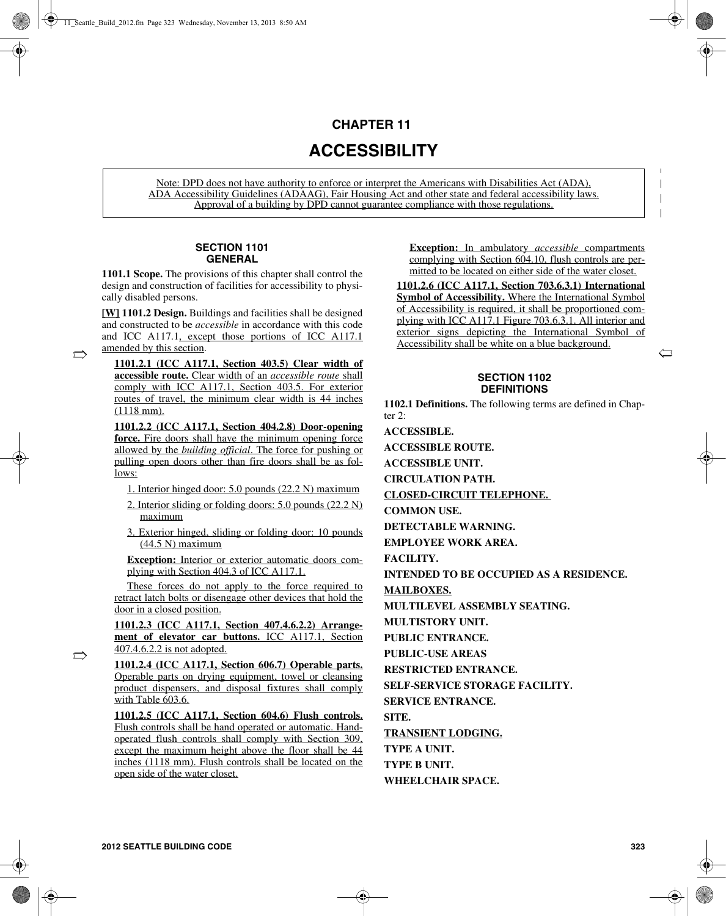## **CHAPTER 11**

# **ACCESSIBILITY**

Note: DPD does not have authority to enforce or interpret the Americans with Disabilities Act (ADA), ADA Accessibility Guidelines (ADAAG), Fair Housing Act and other state and federal accessibility laws. Approval of a building by DPD cannot guarantee compliance with those regulations.

## **SECTION 1101 GENERAL**

**1101.1 Scope.** The provisions of this chapter shall control the design and construction of facilities for accessibility to physically disabled persons.

**[W] 1101.2 Design.** Buildings and facilities shall be designed and constructed to be *accessible* in accordance with this code and ICC A117.1, except those portions of ICC A117.1 amended by this section.

 $\rightarrow$ 

 $\Rightarrow$ 

**1101.2.1 (ICC A117.1, Section 403.5) Clear width of accessible route.** Clear width of an *accessible route* shall comply with ICC A117.1, Section 403.5. For exterior routes of travel, the minimum clear width is 44 inches (1118 mm).

**1101.2.2 (ICC A117.1, Section 404.2.8) Door-opening force.** Fire doors shall have the minimum opening force allowed by the *building official*. The force for pushing or pulling open doors other than fire doors shall be as follows:

- 1. Interior hinged door: 5.0 pounds (22.2 N) maximum
- 2. Interior sliding or folding doors: 5.0 pounds (22.2 N) maximum
- 3. Exterior hinged, sliding or folding door: 10 pounds (44.5 N) maximum

**Exception:** Interior or exterior automatic doors complying with Section 404.3 of ICC A117.1.

These forces do not apply to the force required to retract latch bolts or disengage other devices that hold the door in a closed position.

**1101.2.3 (ICC A117.1, Section 407.4.6.2.2) Arrangement of elevator car buttons.** ICC A117.1, Section 407.4.6.2.2 is not adopted.

**1101.2.4 (ICC A117.1, Section 606.7) Operable parts.** Operable parts on drying equipment, towel or cleansing product dispensers, and disposal fixtures shall comply with Table 603.6.

**1101.2.5 (ICC A117.1, Section 604.6) Flush controls.** Flush controls shall be hand operated or automatic. Handoperated flush controls shall comply with Section 309, except the maximum height above the floor shall be 44 inches (1118 mm). Flush controls shall be located on the open side of the water closet.

**Exception:** In ambulatory *accessible* compartments complying with Section 604.10, flush controls are permitted to be located on either side of the water closet.

**1101.2.6 (ICC A117.1, Section 703.6.3.1) International Symbol of Accessibility.** Where the International Symbol of Accessibility is required, it shall be proportioned complying with ICC A117.1 Figure 703.6.3.1. All interior and exterior signs depicting the International Symbol of Accessibility shall be white on a blue background.

#### **SECTION 1102 DEFINITIONS**

**1102.1 Definitions.** The following terms are defined in Chapter  $2 \cdot$ 

**ACCESSIBLE.** 

**ACCESSIBLE ROUTE.** 

**ACCESSIBLE UNIT.** 

**CIRCULATION PATH.** 

**CLOSED-CIRCUIT TELEPHONE.** 

**COMMON USE.** 

**DETECTABLE WARNING.** 

**EMPLOYEE WORK AREA.** 

**FACILITY.** 

**INTENDED TO BE OCCUPIED AS A RESIDENCE.** 

**MAILBOXES.**

**MULTILEVEL ASSEMBLY SEATING.** 

**MULTISTORY UNIT.** 

**PUBLIC ENTRANCE.** 

**PUBLIC-USE AREAS**

**RESTRICTED ENTRANCE.** 

**SELF-SERVICE STORAGE FACILITY.** 

**SERVICE ENTRANCE.** 

**SITE.** 

**TRANSIENT LODGING.**

**TYPE A UNIT.** 

**TYPE B UNIT.** 

**WHEELCHAIR SPACE.** 

 $\left(\!\!\left.\!\!\right.\!\!\right]$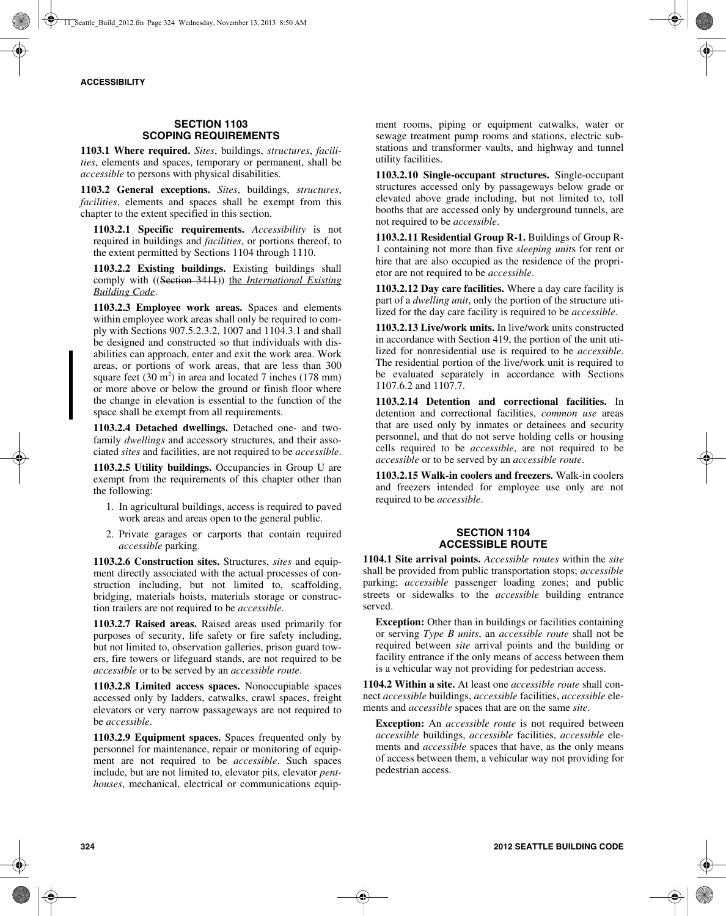## **SECTION 1103 SCOPING REQUIREMENTS**

**1103.1 Where required.** *Sites*, buildings, *structures*, *facilities*, elements and spaces, temporary or permanent, shall be *accessible* to persons with physical disabilities.

**1103.2 General exceptions.** *Sites*, buildings, *structures*, *facilities*, elements and spaces shall be exempt from this chapter to the extent specified in this section.

**1103.2.1 Specific requirements.** *Accessibility* is not required in buildings and *facilities*, or portions thereof, to the extent permitted by Sections 1104 through 1110.

**1103.2.2 Existing buildings.** Existing buildings shall comply with ((Section 3411)) the *International Existing Building Code*.

**1103.2.3 Employee work areas.** Spaces and elements within employee work areas shall only be required to comply with Sections 907.5.2.3.2, 1007 and 1104.3.1 and shall be designed and constructed so that individuals with disabilities can approach, enter and exit the work area. Work areas, or portions of work areas, that are less than 300 square feet  $(30 \text{ m}^2)$  in area and located 7 inches  $(178 \text{ mm})$ or more above or below the ground or finish floor where the change in elevation is essential to the function of the space shall be exempt from all requirements.

**1103.2.4 Detached dwellings.** Detached one- and twofamily *dwellings* and accessory structures, and their associated *sites* and facilities, are not required to be *accessible*.

**1103.2.5 Utility buildings.** Occupancies in Group U are exempt from the requirements of this chapter other than the following:

- 1. In agricultural buildings, access is required to paved work areas and areas open to the general public.
- 2. Private garages or carports that contain required *accessible* parking.

**1103.2.6 Construction sites.** Structures, *sites* and equipment directly associated with the actual processes of construction including, but not limited to, scaffolding, bridging, materials hoists, materials storage or construction trailers are not required to be *accessible*.

**1103.2.7 Raised areas.** Raised areas used primarily for purposes of security, life safety or fire safety including, but not limited to, observation galleries, prison guard towers, fire towers or lifeguard stands, are not required to be *accessible* or to be served by an *accessible route*.

**1103.2.8 Limited access spaces.** Nonoccupiable spaces accessed only by ladders, catwalks, crawl spaces, freight elevators or very narrow passageways are not required to be *accessible*.

**1103.2.9 Equipment spaces.** Spaces frequented only by personnel for maintenance, repair or monitoring of equipment are not required to be *accessible*. Such spaces include, but are not limited to, elevator pits, elevator *penthouses*, mechanical, electrical or communications equipment rooms, piping or equipment catwalks, water or sewage treatment pump rooms and stations, electric substations and transformer vaults, and highway and tunnel utility facilities.

**1103.2.10 Single-occupant structures.** Single-occupant structures accessed only by passageways below grade or elevated above grade including, but not limited to, toll booths that are accessed only by underground tunnels, are not required to be *accessible*.

**1103.2.11 Residential Group R-1.** Buildings of Group R-1 containing not more than five *sleeping unit*s for rent or hire that are also occupied as the residence of the proprietor are not required to be *accessible*.

**1103.2.12 Day care facilities.** Where a day care facility is part of a *dwelling unit*, only the portion of the structure utilized for the day care facility is required to be *accessible*.

**1103.2.13 Live/work units.** In live/work units constructed in accordance with Section 419, the portion of the unit utilized for nonresidential use is required to be *accessible*. The residential portion of the live/work unit is required to be evaluated separately in accordance with Sections 1107.6.2 and 1107.7.

**1103.2.14 Detention and correctional facilities.** In detention and correctional facilities, *common use* areas that are used only by inmates or detainees and security personnel, and that do not serve holding cells or housing cells required to be *accessible*, are not required to be *accessible* or to be served by an *accessible route*.

**1103.2.15 Walk-in coolers and freezers.** Walk-in coolers and freezers intended for employee use only are not required to be *accessible*.

## **SECTION 1104 ACCESSIBLE ROUTE**

**1104.1 Site arrival points.** *Accessible routes* within the *site* shall be provided from public transportation stops; *accessible* parking; *accessible* passenger loading zones; and public streets or sidewalks to the *accessible* building entrance served.

**Exception:** Other than in buildings or facilities containing or serving *Type B units*, an *accessible route* shall not be required between *site* arrival points and the building or facility entrance if the only means of access between them is a vehicular way not providing for pedestrian access.

**1104.2 Within a site.** At least one *accessible route* shall connect *accessible* buildings, *accessible* facilities, *accessible* elements and *accessible* spaces that are on the same *site*.

**Exception:** An *accessible route* is not required between *accessible* buildings, *accessible* facilities, *accessible* elements and *accessible* spaces that have, as the only means of access between them, a vehicular way not providing for pedestrian access.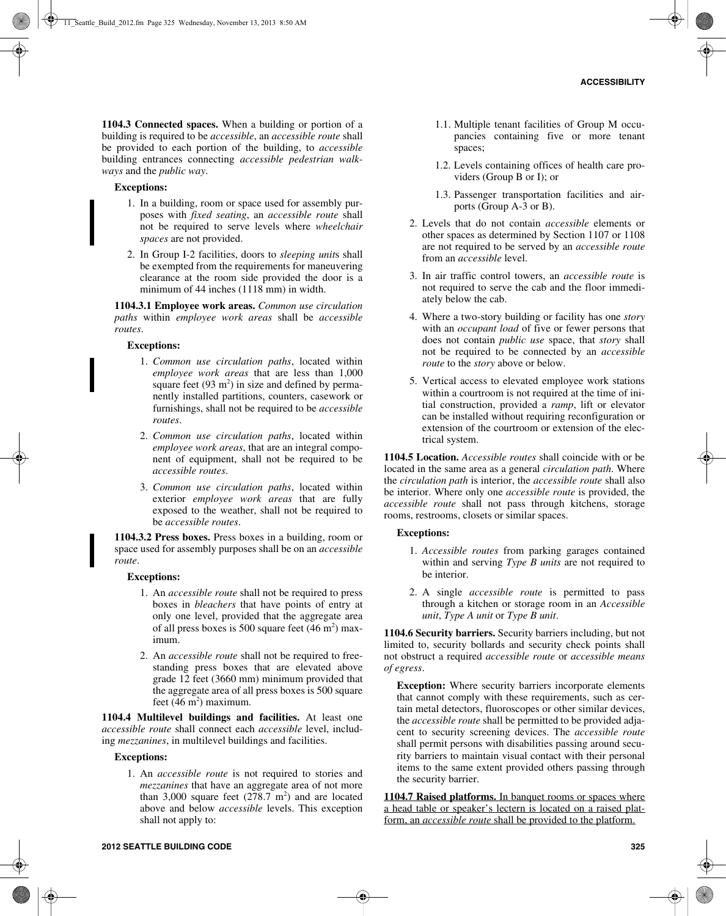**1104.3 Connected spaces.** When a building or portion of a building is required to be *accessible*, an *accessible route* shall be provided to each portion of the building, to *accessible* building entrances connecting *accessible pedestrian walkways* and the *public way*.

#### **Exceptions:**

- 1. In a building, room or space used for assembly purposes with *fixed seating*, an *accessible route* shall not be required to serve levels where *wheelchair spaces* are not provided.
- 2. In Group I-2 facilities, doors to *sleeping unit*s shall be exempted from the requirements for maneuvering clearance at the room side provided the door is a minimum of 44 inches (1118 mm) in width.

**1104.3.1 Employee work areas.** *Common use circulation paths* within *employee work areas* shall be *accessible routes*.

#### **Exceptions:**

- 1. *Common use circulation paths*, located within *employee work areas* that are less than 1,000 square feet  $(93 \text{ m}^2)$  in size and defined by permanently installed partitions, counters, casework or furnishings, shall not be required to be *accessible routes*.
- 2. *Common use circulation paths*, located within *employee work areas*, that are an integral component of equipment, shall not be required to be *accessible routes*.
- 3. *Common use circulation paths*, located within exterior *employee work areas* that are fully exposed to the weather, shall not be required to be *accessible routes*.

**1104.3.2 Press boxes.** Press boxes in a building, room or space used for assembly purposes shall be on an *accessible route*.

#### **Exceptions:**

- 1. An *accessible route* shall not be required to press boxes in *bleachers* that have points of entry at only one level, provided that the aggregate area of all press boxes is 500 square feet  $(46 \text{ m}^2)$  maximum.
- 2. An *accessible route* shall not be required to freestanding press boxes that are elevated above grade 12 feet (3660 mm) minimum provided that the aggregate area of all press boxes is 500 square feet  $(46 \text{ m}^2)$  maximum.

**1104.4 Multilevel buildings and facilities.** At least one *accessible route* shall connect each *accessible* level, including *mezzanines*, in multilevel buildings and facilities.

#### **Exceptions:**

1. An *accessible route* is not required to stories and *mezzanines* that have an aggregate area of not more than 3,000 square feet  $(278.7 \text{ m}^2)$  and are located above and below *accessible* levels. This exception shall not apply to:

- 1.1. Multiple tenant facilities of Group M occupancies containing five or more tenant spaces;
- 1.2. Levels containing offices of health care providers (Group B or I); or
- 1.3. Passenger transportation facilities and airports (Group A-3 or B).
- 2. Levels that do not contain *accessible* elements or other spaces as determined by Section 1107 or 1108 are not required to be served by an *accessible route* from an *accessible* level.
- 3. In air traffic control towers, an *accessible route* is not required to serve the cab and the floor immediately below the cab.
- 4. Where a two-story building or facility has one *story* with an *occupant load* of five or fewer persons that does not contain *public use* space, that *story* shall not be required to be connected by an *accessible route* to the *story* above or below.
- 5. Vertical access to elevated employee work stations within a courtroom is not required at the time of initial construction, provided a *ramp*, lift or elevator can be installed without requiring reconfiguration or extension of the courtroom or extension of the electrical system.

**1104.5 Location.** *Accessible routes* shall coincide with or be located in the same area as a general *circulation path*. Where the *circulation path* is interior, the *accessible route* shall also be interior. Where only one *accessible route* is provided, the *accessible route* shall not pass through kitchens, storage rooms, restrooms, closets or similar spaces.

#### **Exceptions:**

- 1. *Accessible routes* from parking garages contained within and serving *Type B units* are not required to be interior.
- 2. A single *accessible route* is permitted to pass through a kitchen or storage room in an *Accessible unit*, *Type A unit* or *Type B unit*.

**1104.6 Security barriers.** Security barriers including, but not limited to, security bollards and security check points shall not obstruct a required *accessible route* or *accessible means of egress*.

**Exception:** Where security barriers incorporate elements that cannot comply with these requirements, such as certain metal detectors, fluoroscopes or other similar devices, the *accessible route* shall be permitted to be provided adjacent to security screening devices. The *accessible route* shall permit persons with disabilities passing around security barriers to maintain visual contact with their personal items to the same extent provided others passing through the security barrier.

**1104.7 Raised platforms.** In banquet rooms or spaces where a head table or speaker's lectern is located on a raised platform, an *accessible route* shall be provided to the platform.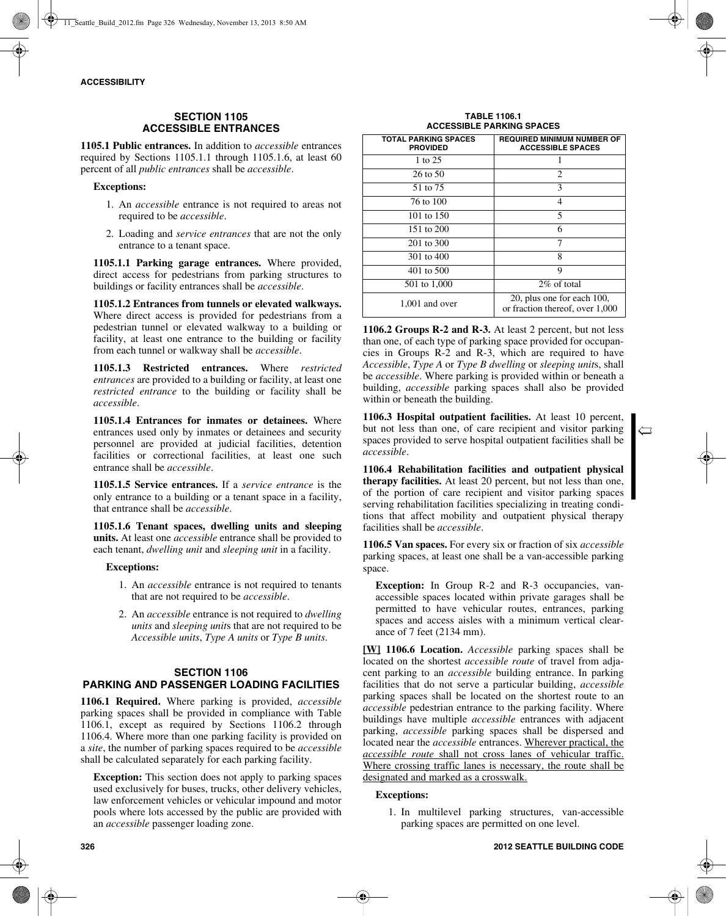## **SECTION 1105 ACCESSIBLE ENTRANCES**

**1105.1 Public entrances.** In addition to *accessible* entrances required by Sections 1105.1.1 through 1105.1.6, at least 60 percent of all *public entrances* shall be *accessible*.

#### **Exceptions:**

- 1. An *accessible* entrance is not required to areas not required to be *accessible*.
- 2. Loading and *service entrances* that are not the only entrance to a tenant space.

**1105.1.1 Parking garage entrances.** Where provided, direct access for pedestrians from parking structures to buildings or facility entrances shall be *accessible*.

**1105.1.2 Entrances from tunnels or elevated walkways.** Where direct access is provided for pedestrians from a pedestrian tunnel or elevated walkway to a building or facility, at least one entrance to the building or facility from each tunnel or walkway shall be *accessible*.

**1105.1.3 Restricted entrances.** Where *restricted entrances* are provided to a building or facility, at least one *restricted entrance* to the building or facility shall be *accessible*.

**1105.1.4 Entrances for inmates or detainees.** Where entrances used only by inmates or detainees and security personnel are provided at judicial facilities, detention facilities or correctional facilities, at least one such entrance shall be *accessible*.

**1105.1.5 Service entrances.** If a *service entrance* is the only entrance to a building or a tenant space in a facility, that entrance shall be *accessible*.

**1105.1.6 Tenant spaces, dwelling units and sleeping units.** At least one *accessible* entrance shall be provided to each tenant, *dwelling unit* and *sleeping unit* in a facility.

#### **Exceptions:**

- 1. An *accessible* entrance is not required to tenants that are not required to be *accessible*.
- 2. An *accessible* entrance is not required to *dwelling units* and *sleeping unit*s that are not required to be *Accessible units*, *Type A units* or *Type B units*.

## **SECTION 1106 PARKING AND PASSENGER LOADING FACILITIES**

**1106.1 Required.** Where parking is provided, *accessible* parking spaces shall be provided in compliance with Table 1106.1, except as required by Sections 1106.2 through 1106.4. Where more than one parking facility is provided on a *site*, the number of parking spaces required to be *accessible* shall be calculated separately for each parking facility.

**Exception:** This section does not apply to parking spaces used exclusively for buses, trucks, other delivery vehicles, law enforcement vehicles or vehicular impound and motor pools where lots accessed by the public are provided with an *accessible* passenger loading zone.

**TABLE 1106.1 ACCESSIBLE PARKING SPACES**

| <b>TOTAL PARKING SPACES</b><br><b>PROVIDED</b> | <b>REQUIRED MINIMUM NUMBER OF</b><br><b>ACCESSIBLE SPACES</b> |
|------------------------------------------------|---------------------------------------------------------------|
| 1 to 25                                        |                                                               |
| $26$ to $50$                                   | $\overline{c}$                                                |
| 51 to 75                                       | 3                                                             |
| 76 to 100                                      | $\overline{4}$                                                |
| 101 to 150                                     | 5                                                             |
| 151 to 200                                     | 6                                                             |
| 201 to 300                                     | 7                                                             |
| 301 to 400                                     | 8                                                             |
| 401 to 500                                     | 9                                                             |
| 501 to 1,000                                   | 2\% of total                                                  |
| $1,001$ and over                               | 20, plus one for each 100,<br>or fraction thereof, over 1,000 |

**1106.2 Groups R-2 and R-3.** At least 2 percent, but not less than one, of each type of parking space provided for occupancies in Groups R-2 and R-3, which are required to have *Accessible*, *Type A* or *Type B dwelling* or *sleeping unit*s, shall be *accessible*. Where parking is provided within or beneath a building, *accessible* parking spaces shall also be provided within or beneath the building.

**1106.3 Hospital outpatient facilities.** At least 10 percent, but not less than one, of care recipient and visitor parking spaces provided to serve hospital outpatient facilities shall be *accessible*.

 $\Longleftrightarrow$ 

**1106.4 Rehabilitation facilities and outpatient physical therapy facilities.** At least 20 percent, but not less than one, of the portion of care recipient and visitor parking spaces serving rehabilitation facilities specializing in treating conditions that affect mobility and outpatient physical therapy facilities shall be *accessible*.

**1106.5 Van spaces.** For every six or fraction of six *accessible* parking spaces, at least one shall be a van-accessible parking space.

**Exception:** In Group R-2 and R-3 occupancies, vanaccessible spaces located within private garages shall be permitted to have vehicular routes, entrances, parking spaces and access aisles with a minimum vertical clearance of 7 feet (2134 mm).

**[W] 1106.6 Location.** *Accessible* parking spaces shall be located on the shortest *accessible route* of travel from adjacent parking to an *accessible* building entrance. In parking facilities that do not serve a particular building, *accessible* parking spaces shall be located on the shortest route to an *accessible* pedestrian entrance to the parking facility. Where buildings have multiple *accessible* entrances with adjacent parking, *accessible* parking spaces shall be dispersed and located near the *accessible* entrances. Wherever practical, the *accessible route* shall not cross lanes of vehicular traffic. Where crossing traffic lanes is necessary, the route shall be designated and marked as a crosswalk.

#### **Exceptions:**

1. In multilevel parking structures, van-accessible parking spaces are permitted on one level.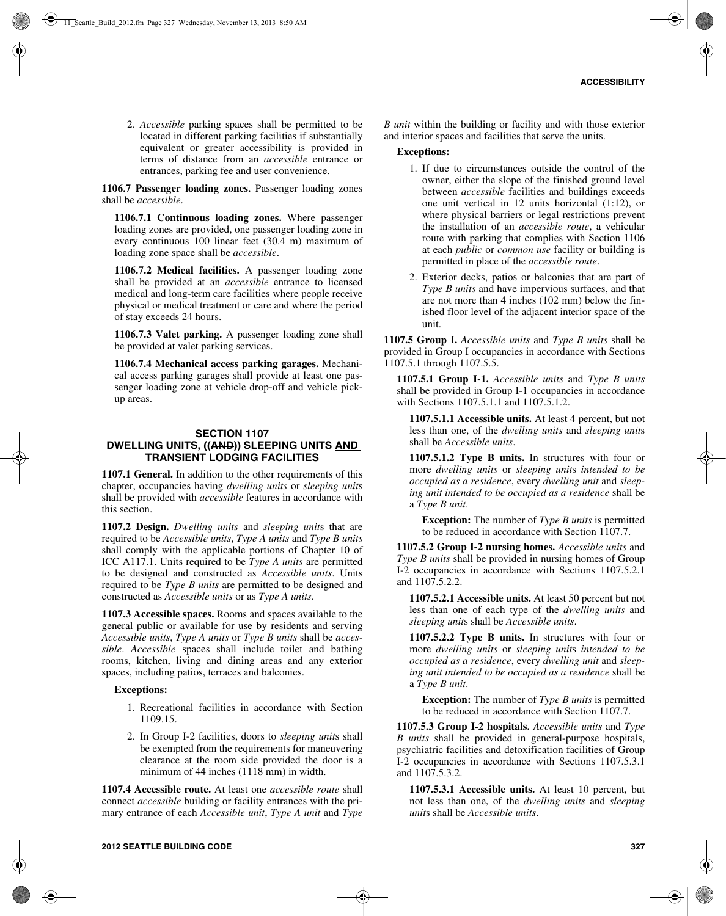2. *Accessible* parking spaces shall be permitted to be located in different parking facilities if substantially equivalent or greater accessibility is provided in terms of distance from an *accessible* entrance or entrances, parking fee and user convenience.

**1106.7 Passenger loading zones.** Passenger loading zones shall be *accessible*.

**1106.7.1 Continuous loading zones.** Where passenger loading zones are provided, one passenger loading zone in every continuous 100 linear feet (30.4 m) maximum of loading zone space shall be *accessible*.

**1106.7.2 Medical facilities.** A passenger loading zone shall be provided at an *accessible* entrance to licensed medical and long-term care facilities where people receive physical or medical treatment or care and where the period of stay exceeds 24 hours.

**1106.7.3 Valet parking.** A passenger loading zone shall be provided at valet parking services.

**1106.7.4 Mechanical access parking garages.** Mechanical access parking garages shall provide at least one passenger loading zone at vehicle drop-off and vehicle pickup areas.

#### **SECTION 1107 DWELLING UNITS, ((AND)) SLEEPING UNITS AND TRANSIENT LODGING FACILITIES**

**1107.1 General.** In addition to the other requirements of this chapter, occupancies having *dwelling units* or *sleeping unit*s shall be provided with *accessible* features in accordance with this section.

**1107.2 Design.** *Dwelling units* and *sleeping unit*s that are required to be *Accessible units*, *Type A units* and *Type B units* shall comply with the applicable portions of Chapter 10 of ICC A117.1. Units required to be *Type A units* are permitted to be designed and constructed as *Accessible units*. Units required to be *Type B units* are permitted to be designed and constructed as *Accessible units* or as *Type A units*.

**1107.3 Accessible spaces.** Rooms and spaces available to the general public or available for use by residents and serving *Accessible units*, *Type A units* or *Type B units* shall be *accessible*. *Accessible* spaces shall include toilet and bathing rooms, kitchen, living and dining areas and any exterior spaces, including patios, terraces and balconies.

#### **Exceptions:**

- 1. Recreational facilities in accordance with Section 1109.15.
- 2. In Group I-2 facilities, doors to *sleeping unit*s shall be exempted from the requirements for maneuvering clearance at the room side provided the door is a minimum of 44 inches (1118 mm) in width.

**1107.4 Accessible route.** At least one *accessible route* shall connect *accessible* building or facility entrances with the primary entrance of each *Accessible unit*, *Type A unit* and *Type* *B unit* within the building or facility and with those exterior and interior spaces and facilities that serve the units.

#### **Exceptions:**

- 1. If due to circumstances outside the control of the owner, either the slope of the finished ground level between *accessible* facilities and buildings exceeds one unit vertical in 12 units horizontal (1:12), or where physical barriers or legal restrictions prevent the installation of an *accessible route*, a vehicular route with parking that complies with Section 1106 at each *public* or *common use* facility or building is permitted in place of the *accessible route*.
- 2. Exterior decks, patios or balconies that are part of *Type B units* and have impervious surfaces, and that are not more than 4 inches (102 mm) below the finished floor level of the adjacent interior space of the unit.

**1107.5 Group I.** *Accessible units* and *Type B units* shall be provided in Group I occupancies in accordance with Sections 1107.5.1 through 1107.5.5.

**1107.5.1 Group I-1.** *Accessible units* and *Type B units* shall be provided in Group I-1 occupancies in accordance with Sections 1107.5.1.1 and 1107.5.1.2.

**1107.5.1.1 Accessible units.** At least 4 percent, but not less than one, of the *dwelling units* and *sleeping unit*s shall be *Accessible units*.

**1107.5.1.2 Type B units.** In structures with four or more *dwelling units* or *sleeping unit*s *intended to be occupied as a residence*, every *dwelling unit* and *sleeping unit intended to be occupied as a residence* shall be a *Type B unit*.

**Exception:** The number of *Type B units* is permitted to be reduced in accordance with Section 1107.7.

**1107.5.2 Group I-2 nursing homes.** *Accessible units* and *Type B units* shall be provided in nursing homes of Group I-2 occupancies in accordance with Sections 1107.5.2.1 and 1107.5.2.2.

**1107.5.2.1 Accessible units.** At least 50 percent but not less than one of each type of the *dwelling units* and *sleeping unit*s shall be *Accessible units*.

**1107.5.2.2 Type B units.** In structures with four or more *dwelling units* or *sleeping unit*s *intended to be occupied as a residence*, every *dwelling unit* and *sleeping unit intended to be occupied as a residence* shall be a *Type B unit*.

**Exception:** The number of *Type B units* is permitted to be reduced in accordance with Section 1107.7.

**1107.5.3 Group I-2 hospitals.** *Accessible units* and *Type B units* shall be provided in general-purpose hospitals, psychiatric facilities and detoxification facilities of Group I-2 occupancies in accordance with Sections 1107.5.3.1 and 1107.5.3.2.

**1107.5.3.1 Accessible units.** At least 10 percent, but not less than one, of the *dwelling units* and *sleeping unit*s shall be *Accessible units*.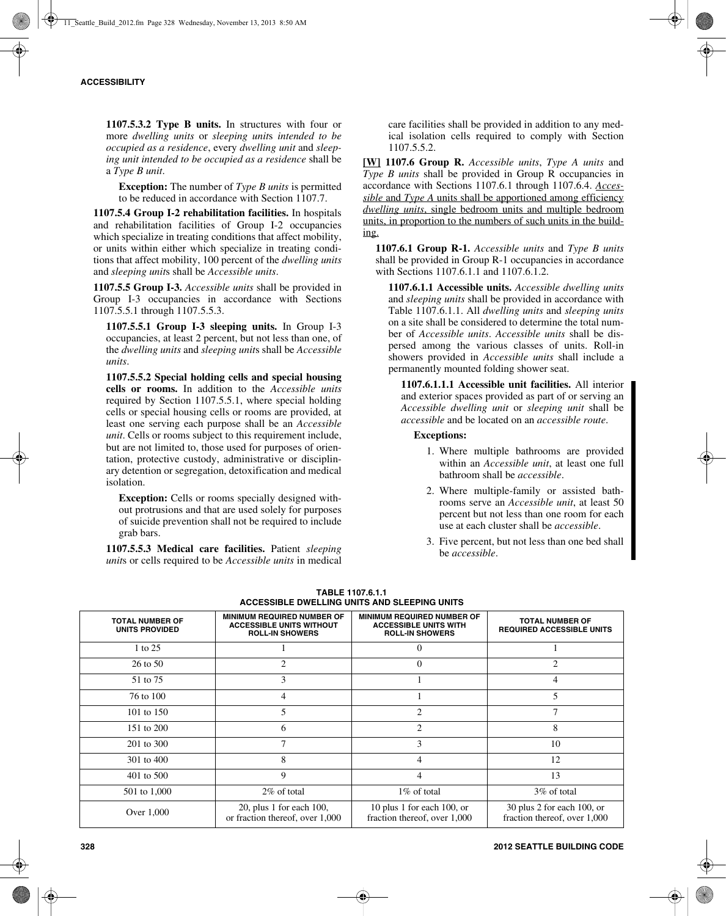**1107.5.3.2 Type B units.** In structures with four or more *dwelling units* or *sleeping unit*s *intended to be occupied as a residence*, every *dwelling unit* and *sleeping unit intended to be occupied as a residence* shall be a *Type B unit*.

**Exception:** The number of *Type B units* is permitted to be reduced in accordance with Section 1107.7.

**1107.5.4 Group I-2 rehabilitation facilities.** In hospitals and rehabilitation facilities of Group I-2 occupancies which specialize in treating conditions that affect mobility, or units within either which specialize in treating conditions that affect mobility, 100 percent of the *dwelling units* and *sleeping unit*s shall be *Accessible units*.

**1107.5.5 Group I-3.** *Accessible units* shall be provided in Group I-3 occupancies in accordance with Sections 1107.5.5.1 through 1107.5.5.3.

**1107.5.5.1 Group I-3 sleeping units.** In Group I-3 occupancies, at least 2 percent, but not less than one, of the *dwelling units* and *sleeping unit*s shall be *Accessible units*.

**1107.5.5.2 Special holding cells and special housing cells or rooms.** In addition to the *Accessible units* required by Section 1107.5.5.1, where special holding cells or special housing cells or rooms are provided, at least one serving each purpose shall be an *Accessible unit*. Cells or rooms subject to this requirement include, but are not limited to, those used for purposes of orientation, protective custody, administrative or disciplinary detention or segregation, detoxification and medical isolation.

**Exception:** Cells or rooms specially designed without protrusions and that are used solely for purposes of suicide prevention shall not be required to include grab bars.

**1107.5.5.3 Medical care facilities.** Patient *sleeping unit*s or cells required to be *Accessible units* in medical care facilities shall be provided in addition to any medical isolation cells required to comply with Section 1107.5.5.2.

**[W] 1107.6 Group R.** *Accessible units*, *Type A units* and *Type B units* shall be provided in Group R occupancies in accordance with Sections 1107.6.1 through 1107.6.4. *Accessible* and *Type A* units shall be apportioned among efficiency *dwelling units*, single bedroom units and multiple bedroom units, in proportion to the numbers of such units in the building.

**1107.6.1 Group R-1.** *Accessible units* and *Type B units* shall be provided in Group R-1 occupancies in accordance with Sections 1107.6.1.1 and 1107.6.1.2.

**1107.6.1.1 Accessible units.** *Accessible dwelling units* and *sleeping units* shall be provided in accordance with Table 1107.6.1.1. All *dwelling units* and *sleeping units* on a site shall be considered to determine the total number of *Accessible units*. *Accessible units* shall be dispersed among the various classes of units. Roll-in showers provided in *Accessible units* shall include a permanently mounted folding shower seat.

**1107.6.1.1.1 Accessible unit facilities.** All interior and exterior spaces provided as part of or serving an *Accessible dwelling unit* or *sleeping unit* shall be *accessible* and be located on an *accessible route*.

**Exceptions:**

- 1. Where multiple bathrooms are provided within an *Accessible unit*, at least one full bathroom shall be *accessible*.
- 2. Where multiple-family or assisted bathrooms serve an *Accessible unit*, at least 50 percent but not less than one room for each use at each cluster shall be *accessible*.
- 3. Five percent, but not less than one bed shall be *accessible*.

| <b>TOTAL NUMBER OF</b><br><b>UNITS PROVIDED</b> | <b>MINIMUM REQUIRED NUMBER OF</b><br><b>ACCESSIBLE UNITS WITHOUT</b><br><b>ROLL-IN SHOWERS</b> | <b>MINIMUM REQUIRED NUMBER OF</b><br><b>ACCESSIBLE UNITS WITH</b><br><b>ROLL-IN SHOWERS</b>                                                                                                                                                                                                                                                                                                                 | <b>TOTAL NUMBER OF</b><br><b>REQUIRED ACCESSIBLE UNITS</b> |
|-------------------------------------------------|------------------------------------------------------------------------------------------------|-------------------------------------------------------------------------------------------------------------------------------------------------------------------------------------------------------------------------------------------------------------------------------------------------------------------------------------------------------------------------------------------------------------|------------------------------------------------------------|
| 1 to 25                                         |                                                                                                | $\theta$                                                                                                                                                                                                                                                                                                                                                                                                    |                                                            |
| 26 to 50                                        | $\mathfrak{D}$                                                                                 | $\theta$                                                                                                                                                                                                                                                                                                                                                                                                    | $\mathfrak{D}$                                             |
| 51 to 75                                        | 3                                                                                              |                                                                                                                                                                                                                                                                                                                                                                                                             | 4                                                          |
| 76 to 100                                       | 4                                                                                              |                                                                                                                                                                                                                                                                                                                                                                                                             | 5                                                          |
| 101 to 150                                      | 5                                                                                              | $\mathfrak{D}_{1}^{(1)} = \mathfrak{D}_{2}^{(1)} = \mathfrak{D}_{2}^{(1)} = \mathfrak{D}_{2}^{(1)} = \mathfrak{D}_{2}^{(1)} = \mathfrak{D}_{2}^{(1)} = \mathfrak{D}_{2}^{(1)} = \mathfrak{D}_{2}^{(1)} = \mathfrak{D}_{2}^{(1)} = \mathfrak{D}_{2}^{(1)} = \mathfrak{D}_{2}^{(1)} = \mathfrak{D}_{2}^{(1)} = \mathfrak{D}_{2}^{(1)} = \mathfrak{D}_{2}^{(1)} = \mathfrak{D}_{2}^{(1)} = \mathfrak{D}_{2}^{$ |                                                            |
| 151 to 200                                      | 6                                                                                              | $\mathfrak{D}$                                                                                                                                                                                                                                                                                                                                                                                              | 8                                                          |
| 201 to 300                                      | 7                                                                                              | 3                                                                                                                                                                                                                                                                                                                                                                                                           | 10                                                         |
| 301 to 400                                      | 8                                                                                              | 4                                                                                                                                                                                                                                                                                                                                                                                                           | 12                                                         |
| 401 to 500                                      | 9                                                                                              | 4                                                                                                                                                                                                                                                                                                                                                                                                           | 13                                                         |
| 501 to 1,000                                    | 2\% of total                                                                                   | 1\% of total                                                                                                                                                                                                                                                                                                                                                                                                | 3\% of total                                               |
| Over 1,000                                      | 20, plus 1 for each $100$ ,<br>or fraction thereof, over 1,000                                 | 10 plus 1 for each 100, or<br>fraction thereof, over 1,000                                                                                                                                                                                                                                                                                                                                                  | 30 plus 2 for each 100, or<br>fraction thereof, over 1,000 |

**TABLE 1107.6.1.1 ACCESSIBLE DWELLING UNITS AND SLEEPING UNITS**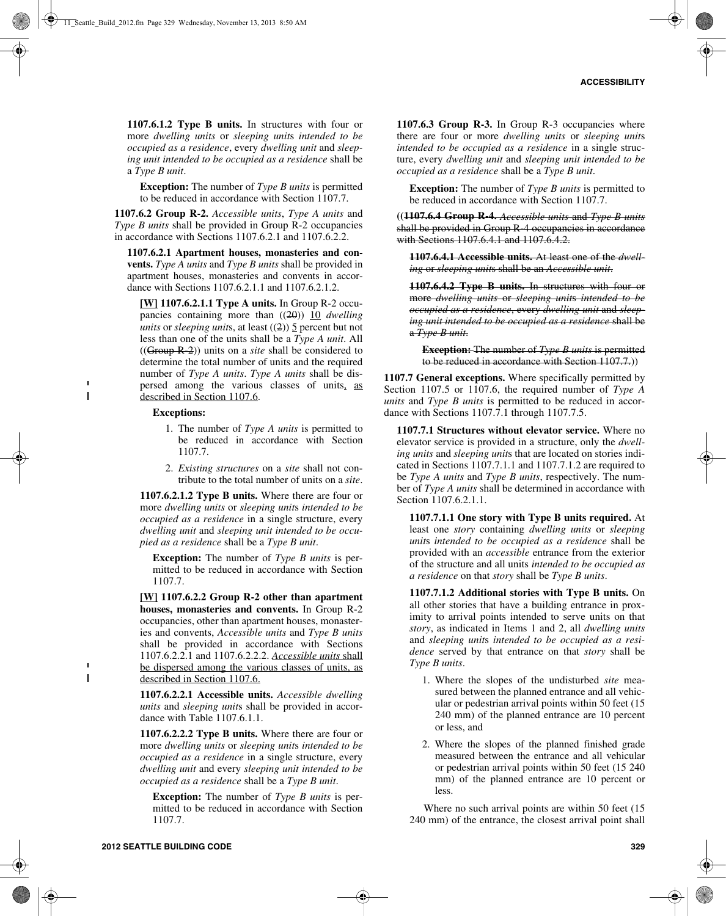**1107.6.1.2 Type B units.** In structures with four or more *dwelling units* or *sleeping unit*s *intended to be occupied as a residence*, every *dwelling unit* and *sleeping unit intended to be occupied as a residence* shall be a *Type B unit*.

**Exception:** The number of *Type B units* is permitted to be reduced in accordance with Section 1107.7.

**1107.6.2 Group R-2.** *Accessible units*, *Type A units* and *Type B units* shall be provided in Group R-2 occupancies in accordance with Sections 1107.6.2.1 and 1107.6.2.2.

**1107.6.2.1 Apartment houses, monasteries and convents.** *Type A units* and *Type B units* shall be provided in apartment houses, monasteries and convents in accordance with Sections 1107.6.2.1.1 and 1107.6.2.1.2.

**[W] 1107.6.2.1.1 Type A units.** In Group R-2 occupancies containing more than ((20)) 10 *dwelling units* or *sleeping units*, at least ((2))  $\frac{5}{2}$  percent but not less than one of the units shall be a *Type A unit*. All ((Group R-2)) units on a *site* shall be considered to determine the total number of units and the required number of *Type A units*. *Type A units* shall be dispersed among the various classes of units, as described in Section 1107.6.

#### **Exceptions:**

 $\blacksquare$  $\mathbf{I}$ 

 $\mathbf{I}$ 

- 1. The number of *Type A units* is permitted to be reduced in accordance with Section 1107.7.
- 2. *Existing structures* on a *site* shall not contribute to the total number of units on a *site*.

**1107.6.2.1.2 Type B units.** Where there are four or more *dwelling units* or *sleeping unit*s *intended to be occupied as a residence* in a single structure, every *dwelling unit* and *sleeping unit intended to be occupied as a residence* shall be a *Type B unit*.

**Exception:** The number of *Type B units* is permitted to be reduced in accordance with Section 1107.7.

**[W] 1107.6.2.2 Group R-2 other than apartment houses, monasteries and convents.** In Group R-2 occupancies, other than apartment houses, monasteries and convents, *Accessible units* and *Type B units* shall be provided in accordance with Sections 1107.6.2.2.1 and 1107.6.2.2.2. *Accessible units* shall be dispersed among the various classes of units, as described in Section 1107.6.

**1107.6.2.2.1 Accessible units.** *Accessible dwelling units* and *sleeping unit*s shall be provided in accordance with Table 1107.6.1.1.

**1107.6.2.2.2 Type B units.** Where there are four or more *dwelling units* or *sleeping unit*s *intended to be occupied as a residence* in a single structure, every *dwelling unit* and every *sleeping unit intended to be occupied as a residence* shall be a *Type B unit*.

**Exception:** The number of *Type B units* is permitted to be reduced in accordance with Section 1107.7.

**1107.6.3 Group R-3.** In Group R-3 occupancies where there are four or more *dwelling units* or *sleeping unit*s *intended to be occupied as a residence* in a single structure, every *dwelling unit* and *sleeping unit intended to be occupied as a residence* shall be a *Type B unit*.

**Exception:** The number of *Type B units* is permitted to be reduced in accordance with Section 1107.7.

**((1107.6.4 Group R-4.** *Accessible units* and *Type B units* shall be provided in Group R-4 occupancies in accordance with Sections 1107.6.4.1 and 1107.6.4.2.

**1107.6.4.1 Accessible units.** At least one of the *dwelling* or *sleeping unit*s shall be an *Accessible unit*.

**1107.6.4.2 Type B units.** In structures with four or more *dwelling units* or *sleeping unit*s *intended to be occupied as a residence*, every *dwelling unit* and *sleeping unit intended to be occupied as a residence* shall be a *Type B unit*.

**Exception:** The number of *Type B units* is permitted to be reduced in accordance with Section 1107.7.))

**1107.7 General exceptions.** Where specifically permitted by Section 1107.5 or 1107.6, the required number of *Type A units* and *Type B units* is permitted to be reduced in accordance with Sections 1107.7.1 through 1107.7.5.

**1107.7.1 Structures without elevator service.** Where no elevator service is provided in a structure, only the *dwelling units* and *sleeping unit*s that are located on stories indicated in Sections 1107.7.1.1 and 1107.7.1.2 are required to be *Type A units* and *Type B units*, respectively. The number of *Type A units* shall be determined in accordance with Section 1107.6.2.1.1.

**1107.7.1.1 One story with Type B units required.** At least one *story* containing *dwelling units* or *sleeping unit*s *intended to be occupied as a residence* shall be provided with an *accessible* entrance from the exterior of the structure and all units *intended to be occupied as a residence* on that *story* shall be *Type B units*.

**1107.7.1.2 Additional stories with Type B units.** On all other stories that have a building entrance in proximity to arrival points intended to serve units on that *story*, as indicated in Items 1 and 2, all *dwelling units* and *sleeping unit*s *intended to be occupied as a residence* served by that entrance on that *story* shall be *Type B units*.

- 1. Where the slopes of the undisturbed *site* measured between the planned entrance and all vehicular or pedestrian arrival points within 50 feet (15 240 mm) of the planned entrance are 10 percent or less, and
- 2. Where the slopes of the planned finished grade measured between the entrance and all vehicular or pedestrian arrival points within 50 feet (15 240 mm) of the planned entrance are 10 percent or less.

Where no such arrival points are within 50 feet (15 240 mm) of the entrance, the closest arrival point shall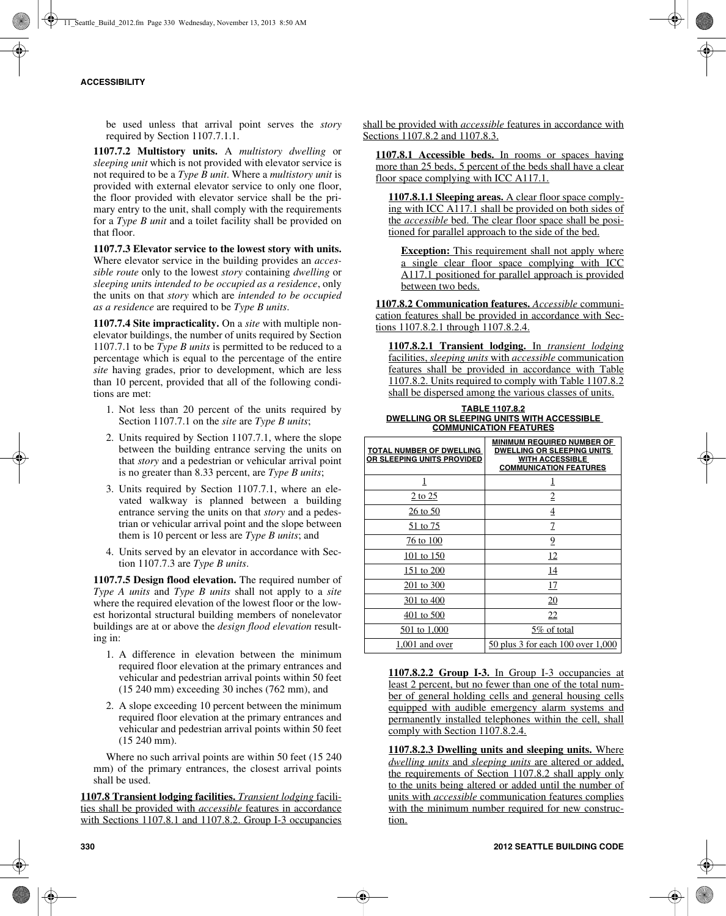be used unless that arrival point serves the *story* required by Section 1107.7.1.1.

**1107.7.2 Multistory units.** A *multistory dwelling* or *sleeping unit* which is not provided with elevator service is not required to be a *Type B unit*. Where a *multistory unit* is provided with external elevator service to only one floor, the floor provided with elevator service shall be the primary entry to the unit, shall comply with the requirements for a *Type B unit* and a toilet facility shall be provided on that floor.

**1107.7.3 Elevator service to the lowest story with units.** Where elevator service in the building provides an *accessible route* only to the lowest *story* containing *dwelling* or *sleeping unit*s *intended to be occupied as a residence*, only the units on that *story* which are *intended to be occupied as a residence* are required to be *Type B units*.

**1107.7.4 Site impracticality.** On a *site* with multiple nonelevator buildings, the number of units required by Section 1107.7.1 to be *Type B units* is permitted to be reduced to a percentage which is equal to the percentage of the entire *site* having grades, prior to development, which are less than 10 percent, provided that all of the following conditions are met:

- 1. Not less than 20 percent of the units required by Section 1107.7.1 on the *site* are *Type B units*;
- 2. Units required by Section 1107.7.1, where the slope between the building entrance serving the units on that *story* and a pedestrian or vehicular arrival point is no greater than 8.33 percent, are *Type B units*;
- 3. Units required by Section 1107.7.1, where an elevated walkway is planned between a building entrance serving the units on that *story* and a pedestrian or vehicular arrival point and the slope between them is 10 percent or less are *Type B units*; and
- 4. Units served by an elevator in accordance with Section 1107.7.3 are *Type B units*.

**1107.7.5 Design flood elevation.** The required number of *Type A units* and *Type B units* shall not apply to a *site* where the required elevation of the lowest floor or the lowest horizontal structural building members of nonelevator buildings are at or above the *design flood elevation* resulting in:

- 1. A difference in elevation between the minimum required floor elevation at the primary entrances and vehicular and pedestrian arrival points within 50 feet (15 240 mm) exceeding 30 inches (762 mm), and
- 2. A slope exceeding 10 percent between the minimum required floor elevation at the primary entrances and vehicular and pedestrian arrival points within 50 feet (15 240 mm).

Where no such arrival points are within 50 feet (15 240 mm) of the primary entrances, the closest arrival points shall be used.

**1107.8 Transient lodging facilities.** *Transient lodging* facilities shall be provided with *accessible* features in accordance with Sections 1107.8.1 and 1107.8.2. Group I-3 occupancies shall be provided with *accessible* features in accordance with Sections 1107.8.2 and 1107.8.3.

**1107.8.1 Accessible beds.** In rooms or spaces having more than 25 beds, 5 percent of the beds shall have a clear floor space complying with ICC A117.1.

**1107.8.1.1 Sleeping areas.** A clear floor space complying with ICC A117.1 shall be provided on both sides of the *accessible* bed. The clear floor space shall be positioned for parallel approach to the side of the bed.

**Exception:** This requirement shall not apply where a single clear floor space complying with ICC A117.1 positioned for parallel approach is provided between two beds.

**1107.8.2 Communication features.** *Accessible* communication features shall be provided in accordance with Sections 1107.8.2.1 through 1107.8.2.4.

**1107.8.2.1 Transient lodging.** In *transient lodging* facilities, *sleeping units* with *accessible* communication features shall be provided in accordance with Table 1107.8.2. Units required to comply with Table 1107.8.2 shall be dispersed among the various classes of units.

#### **TABLE 1107.8.2 DWELLING OR SLEEPING UNITS WITH ACCESSIBLE COMMUNICATION FEATURES**

| <b>TOTAL NUMBER OF DWELLING</b><br>OR SLEEPING UNITS PROVIDED | <b>MINIMUM REQUIRED NUMBER OF</b><br><b>DWELLING OR SLEEPING UNITS</b><br><b>WITH ACCESSIBLE</b><br><b>COMMUNICATION FEATURES</b> |
|---------------------------------------------------------------|-----------------------------------------------------------------------------------------------------------------------------------|
| 1                                                             | 1                                                                                                                                 |
| 2 to 25                                                       | 2                                                                                                                                 |
| 26 to 50                                                      | $\overline{4}$                                                                                                                    |
| 51 to 75                                                      | 7                                                                                                                                 |
| 76 to 100                                                     | 9                                                                                                                                 |
| 101 to 150                                                    | 12                                                                                                                                |
| 151 to 200                                                    | 14                                                                                                                                |
| 201 to 300                                                    | 17                                                                                                                                |
| 301 to 400                                                    | <u>20</u>                                                                                                                         |
| 401 to 500                                                    | 22                                                                                                                                |
| 501 to 1,000                                                  | 5\% of total                                                                                                                      |
| $1,001$ and over                                              | 50 plus 3 for each 100 over 1,000                                                                                                 |

**1107.8.2.2 Group I-3.** In Group I-3 occupancies at least 2 percent, but no fewer than one of the total number of general holding cells and general housing cells equipped with audible emergency alarm systems and permanently installed telephones within the cell, shall comply with Section 1107.8.2.4.

**1107.8.2.3 Dwelling units and sleeping units.** Where *dwelling units* and *sleeping units* are altered or added, the requirements of Section 1107.8.2 shall apply only to the units being altered or added until the number of units with *accessible* communication features complies with the minimum number required for new construction.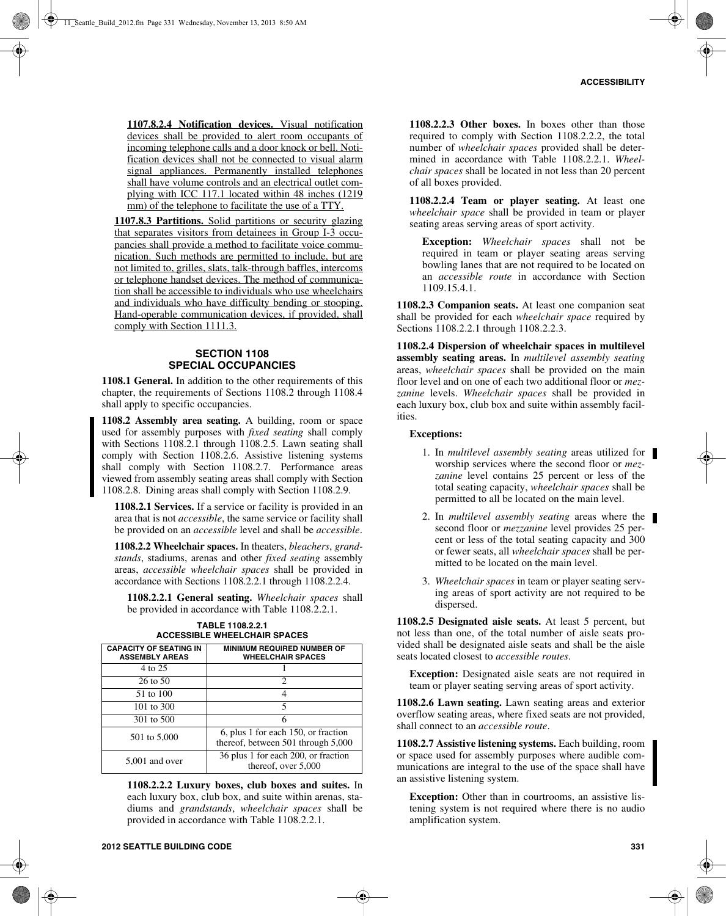**1107.8.2.4 Notification devices.** Visual notification devices shall be provided to alert room occupants of incoming telephone calls and a door knock or bell. Notification devices shall not be connected to visual alarm signal appliances. Permanently installed telephones shall have volume controls and an electrical outlet complying with ICC 117.1 located within 48 inches (1219 mm) of the telephone to facilitate the use of a TTY.

**1107.8.3 Partitions.** Solid partitions or security glazing that separates visitors from detainees in Group I-3 occupancies shall provide a method to facilitate voice communication. Such methods are permitted to include, but are not limited to, grilles, slats, talk-through baffles, intercoms or telephone handset devices. The method of communication shall be accessible to individuals who use wheelchairs and individuals who have difficulty bending or stooping. Hand-operable communication devices, if provided, shall comply with Section 1111.3.

## **SECTION 1108 SPECIAL OCCUPANCIES**

**1108.1 General.** In addition to the other requirements of this chapter, the requirements of Sections 1108.2 through 1108.4 shall apply to specific occupancies.

**1108.2 Assembly area seating.** A building, room or space used for assembly purposes with *fixed seating* shall comply with Sections 1108.2.1 through 1108.2.5. Lawn seating shall comply with Section 1108.2.6. Assistive listening systems shall comply with Section 1108.2.7. Performance areas viewed from assembly seating areas shall comply with Section 1108.2.8. Dining areas shall comply with Section 1108.2.9.

**1108.2.1 Services.** If a service or facility is provided in an area that is not *accessible*, the same service or facility shall be provided on an *accessible* level and shall be *accessible*.

**1108.2.2 Wheelchair spaces.** In theaters, *bleachers*, *grandstands*, stadiums, arenas and other *fixed seating* assembly areas, *accessible wheelchair spaces* shall be provided in accordance with Sections 1108.2.2.1 through 1108.2.2.4.

**1108.2.2.1 General seating.** *Wheelchair spaces* shall be provided in accordance with Table 1108.2.2.1.

| <b>CAPACITY OF SEATING IN</b><br><b>ASSEMBLY AREAS</b> | <b>MINIMUM REQUIRED NUMBER OF</b><br><b>WHEELCHAIR SPACES</b>             |
|--------------------------------------------------------|---------------------------------------------------------------------------|
| 4 to 25                                                |                                                                           |
| $26$ to $50$                                           | $\mathfrak{D}$                                                            |
| 51 to 100                                              | 4                                                                         |
| 101 to 300                                             | 5                                                                         |
| 301 to 500                                             | 6                                                                         |
| 501 to 5,000                                           | 6, plus 1 for each 150, or fraction<br>thereof, between 501 through 5,000 |
| 5,001 and over                                         | 36 plus 1 for each 200, or fraction<br>thereof, over 5,000                |

**TABLE 1108.2.2.1 ACCESSIBLE WHEELCHAIR SPACES**

**1108.2.2.2 Luxury boxes, club boxes and suites.** In each luxury box, club box, and suite within arenas, stadiums and *grandstands*, *wheelchair spaces* shall be provided in accordance with Table 1108.2.2.1.

**1108.2.2.4 Team or player seating.** At least one *wheelchair space* shall be provided in team or player seating areas serving areas of sport activity.

**Exception:** *Wheelchair spaces* shall not be required in team or player seating areas serving bowling lanes that are not required to be located on an *accessible route* in accordance with Section 1109.15.4.1.

**1108.2.3 Companion seats.** At least one companion seat shall be provided for each *wheelchair space* required by Sections 1108.2.2.1 through 1108.2.2.3.

**1108.2.4 Dispersion of wheelchair spaces in multilevel assembly seating areas.** In *multilevel assembly seating* areas, *wheelchair spaces* shall be provided on the main floor level and on one of each two additional floor or *mezzanine* levels. *Wheelchair spaces* shall be provided in each luxury box, club box and suite within assembly facilities.

#### **Exceptions:**

- 1. In *multilevel assembly seating* areas utilized for worship services where the second floor or *mezzanine* level contains 25 percent or less of the total seating capacity, *wheelchair spaces* shall be permitted to all be located on the main level.
- 2. In *multilevel assembly seating* areas where the second floor or *mezzanine* level provides 25 percent or less of the total seating capacity and 300 or fewer seats, all *wheelchair spaces* shall be permitted to be located on the main level.
- 3. *Wheelchair spaces* in team or player seating serving areas of sport activity are not required to be dispersed.

**1108.2.5 Designated aisle seats.** At least 5 percent, but not less than one, of the total number of aisle seats provided shall be designated aisle seats and shall be the aisle seats located closest to *accessible routes*.

**Exception:** Designated aisle seats are not required in team or player seating serving areas of sport activity.

**1108.2.6 Lawn seating.** Lawn seating areas and exterior overflow seating areas, where fixed seats are not provided, shall connect to an *accessible route*.

**1108.2.7 Assistive listening systems.** Each building, room or space used for assembly purposes where audible communications are integral to the use of the space shall have an assistive listening system.

**Exception:** Other than in courtrooms, an assistive listening system is not required where there is no audio amplification system.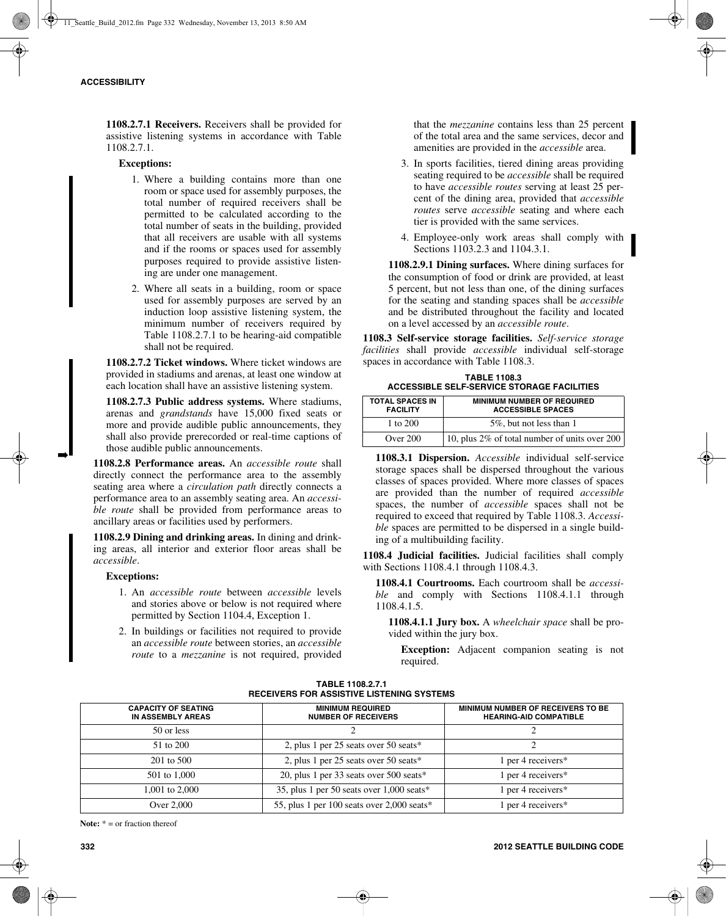**1108.2.7.1 Receivers.** Receivers shall be provided for assistive listening systems in accordance with Table 1108.2.7.1.

#### **Exceptions:**

- 1. Where a building contains more than one room or space used for assembly purposes, the total number of required receivers shall be permitted to be calculated according to the total number of seats in the building, provided that all receivers are usable with all systems and if the rooms or spaces used for assembly purposes required to provide assistive listening are under one management.
- 2. Where all seats in a building, room or space used for assembly purposes are served by an induction loop assistive listening system, the minimum number of receivers required by Table 1108.2.7.1 to be hearing-aid compatible shall not be required.

**1108.2.7.2 Ticket windows.** Where ticket windows are provided in stadiums and arenas, at least one window at each location shall have an assistive listening system.

**1108.2.7.3 Public address systems.** Where stadiums, arenas and *grandstands* have 15,000 fixed seats or more and provide audible public announcements, they shall also provide prerecorded or real-time captions of those audible public announcements.

**1108.2.8 Performance areas.** An *accessible route* shall directly connect the performance area to the assembly seating area where a *circulation path* directly connects a performance area to an assembly seating area. An *accessible route* shall be provided from performance areas to ancillary areas or facilities used by performers.

**1108.2.9 Dining and drinking areas.** In dining and drinking areas, all interior and exterior floor areas shall be *accessible*.

#### **Exceptions:**

➡

- 1. An *accessible route* between *accessible* levels and stories above or below is not required where permitted by Section 1104.4, Exception 1.
- 2. In buildings or facilities not required to provide an *accessible route* between stories, an *accessible route* to a *mezzanine* is not required, provided

that the *mezzanine* contains less than 25 percent of the total area and the same services, decor and amenities are provided in the *accessible* area.

- 3. In sports facilities, tiered dining areas providing seating required to be *accessible* shall be required to have *accessible routes* serving at least 25 percent of the dining area, provided that *accessible routes* serve *accessible* seating and where each tier is provided with the same services.
- 4. Employee-only work areas shall comply with Sections 1103.2.3 and 1104.3.1.

**1108.2.9.1 Dining surfaces.** Where dining surfaces for the consumption of food or drink are provided, at least 5 percent, but not less than one, of the dining surfaces for the seating and standing spaces shall be *accessible* and be distributed throughout the facility and located on a level accessed by an *accessible route*.

**1108.3 Self-service storage facilities.** *Self-service storage facilities* shall provide *accessible* individual self-storage spaces in accordance with Table 1108.3.

| <b>TABLE 1108.3</b>                               |  |
|---------------------------------------------------|--|
| <b>ACCESSIBLE SELF-SERVICE STORAGE FACILITIES</b> |  |

| <b>TOTAL SPACES IN</b><br><b>FACILITY</b> | <b>MINIMUM NUMBER OF REQUIRED</b><br><b>ACCESSIBLE SPACES</b> |
|-------------------------------------------|---------------------------------------------------------------|
| 1 to 200                                  | 5%, but not less than 1                                       |
| Over 200                                  | 10, plus 2% of total number of units over 200                 |

**1108.3.1 Dispersion.** *Accessible* individual self-service storage spaces shall be dispersed throughout the various classes of spaces provided. Where more classes of spaces are provided than the number of required *accessible* spaces, the number of *accessible* spaces shall not be required to exceed that required by Table 1108.3. *Accessible* spaces are permitted to be dispersed in a single building of a multibuilding facility.

**1108.4 Judicial facilities.** Judicial facilities shall comply with Sections 1108.4.1 through 1108.4.3.

**1108.4.1 Courtrooms.** Each courtroom shall be *accessible* and comply with Sections 1108.4.1.1 through 1108.4.1.5.

**1108.4.1.1 Jury box.** A *wheelchair space* shall be provided within the jury box.

**Exception:** Adjacent companion seating is not required.

| RECEIVERS FOR ASSISTIVE LISTENING STSTEMS       |                                                       |                                                                    |
|-------------------------------------------------|-------------------------------------------------------|--------------------------------------------------------------------|
| <b>CAPACITY OF SEATING</b><br>IN ASSEMBLY AREAS | <b>MINIMUM REQUIRED</b><br><b>NUMBER OF RECEIVERS</b> | MINIMUM NUMBER OF RECEIVERS TO BE<br><b>HEARING-AID COMPATIBLE</b> |
| 50 or less                                      |                                                       |                                                                    |
| 51 to 200                                       | 2, plus 1 per 25 seats over 50 seats*                 |                                                                    |
| $201$ to $500$                                  | 2, plus 1 per 25 seats over 50 seats*                 | 1 per 4 receivers $*$                                              |
| 501 to 1,000                                    | 20, plus 1 per 33 seats over $500$ seats*             | 1 per 4 receivers $*$                                              |
| 1,001 to 2,000                                  | 35, plus 1 per 50 seats over $1,000$ seats*           | 1 per 4 receivers $*$                                              |
| Over 2,000                                      | 55, plus 1 per 100 seats over 2,000 seats*            | 1 per 4 receivers $*$                                              |

#### **TABLE 1108.2.7.1 RECEIVERS FOR ASSISTIVE LISTENING SYSTEMS**

**Note:** \* = or fraction thereof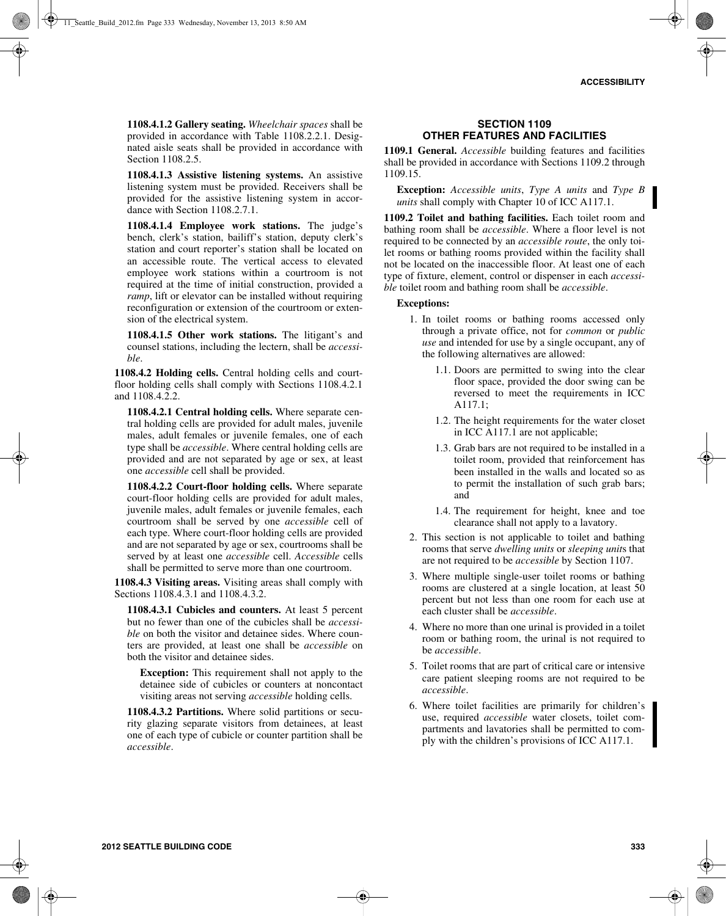**1108.4.1.2 Gallery seating.** *Wheelchair spaces* shall be provided in accordance with Table 1108.2.2.1. Designated aisle seats shall be provided in accordance with Section 1108.2.5.

**1108.4.1.3 Assistive listening systems.** An assistive listening system must be provided. Receivers shall be provided for the assistive listening system in accordance with Section 1108.2.7.1.

**1108.4.1.4 Employee work stations.** The judge's bench, clerk's station, bailiff's station, deputy clerk's station and court reporter's station shall be located on an accessible route. The vertical access to elevated employee work stations within a courtroom is not required at the time of initial construction, provided a *ramp*, lift or elevator can be installed without requiring reconfiguration or extension of the courtroom or extension of the electrical system.

**1108.4.1.5 Other work stations.** The litigant's and counsel stations, including the lectern, shall be *accessible*.

**1108.4.2 Holding cells.** Central holding cells and courtfloor holding cells shall comply with Sections 1108.4.2.1 and 1108.4.2.2.

**1108.4.2.1 Central holding cells.** Where separate central holding cells are provided for adult males, juvenile males, adult females or juvenile females, one of each type shall be *accessible*. Where central holding cells are provided and are not separated by age or sex, at least one *accessible* cell shall be provided.

**1108.4.2.2 Court-floor holding cells.** Where separate court-floor holding cells are provided for adult males, juvenile males, adult females or juvenile females, each courtroom shall be served by one *accessible* cell of each type. Where court-floor holding cells are provided and are not separated by age or sex, courtrooms shall be served by at least one *accessible* cell. *Accessible* cells shall be permitted to serve more than one courtroom.

**1108.4.3 Visiting areas.** Visiting areas shall comply with Sections 1108.4.3.1 and 1108.4.3.2.

**1108.4.3.1 Cubicles and counters.** At least 5 percent but no fewer than one of the cubicles shall be *accessible* on both the visitor and detainee sides. Where counters are provided, at least one shall be *accessible* on both the visitor and detainee sides.

**Exception:** This requirement shall not apply to the detainee side of cubicles or counters at noncontact visiting areas not serving *accessible* holding cells.

**1108.4.3.2 Partitions.** Where solid partitions or security glazing separate visitors from detainees, at least one of each type of cubicle or counter partition shall be *accessible*.

## **SECTION 1109 OTHER FEATURES AND FACILITIES**

**1109.1 General.** *Accessible* building features and facilities shall be provided in accordance with Sections 1109.2 through 1109.15.

**Exception:** *Accessible units*, *Type A units* and *Type B units* shall comply with Chapter 10 of ICC A117.1.

**1109.2 Toilet and bathing facilities.** Each toilet room and bathing room shall be *accessible*. Where a floor level is not required to be connected by an *accessible route*, the only toilet rooms or bathing rooms provided within the facility shall not be located on the inaccessible floor. At least one of each type of fixture, element, control or dispenser in each *accessible* toilet room and bathing room shall be *accessible*.

#### **Exceptions:**

- 1. In toilet rooms or bathing rooms accessed only through a private office, not for *common* or *public use* and intended for use by a single occupant, any of the following alternatives are allowed:
	- 1.1. Doors are permitted to swing into the clear floor space, provided the door swing can be reversed to meet the requirements in ICC A117.1;
	- 1.2. The height requirements for the water closet in ICC A117.1 are not applicable;
	- 1.3. Grab bars are not required to be installed in a toilet room, provided that reinforcement has been installed in the walls and located so as to permit the installation of such grab bars; and
	- 1.4. The requirement for height, knee and toe clearance shall not apply to a lavatory.
- 2. This section is not applicable to toilet and bathing rooms that serve *dwelling units* or *sleeping unit*s that are not required to be *accessible* by Section 1107.
- 3. Where multiple single-user toilet rooms or bathing rooms are clustered at a single location, at least 50 percent but not less than one room for each use at each cluster shall be *accessible*.
- 4. Where no more than one urinal is provided in a toilet room or bathing room, the urinal is not required to be *accessible*.
- 5. Toilet rooms that are part of critical care or intensive care patient sleeping rooms are not required to be *accessible*.
- 6. Where toilet facilities are primarily for children's use, required *accessible* water closets, toilet compartments and lavatories shall be permitted to comply with the children's provisions of ICC A117.1.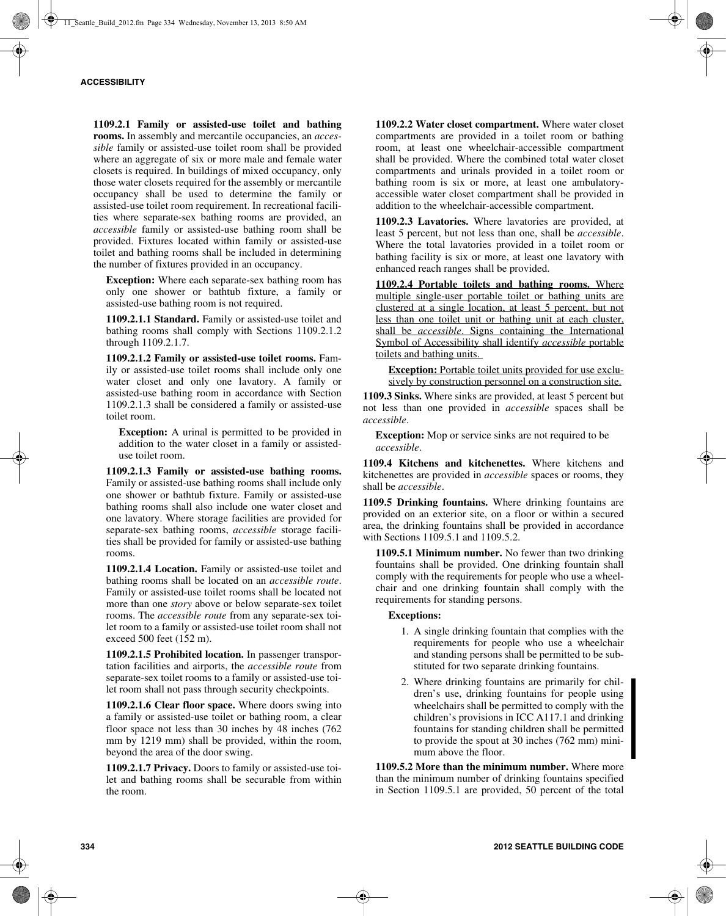**1109.2.1 Family or assisted-use toilet and bathing rooms.** In assembly and mercantile occupancies, an *accessible* family or assisted-use toilet room shall be provided where an aggregate of six or more male and female water closets is required. In buildings of mixed occupancy, only those water closets required for the assembly or mercantile occupancy shall be used to determine the family or assisted-use toilet room requirement. In recreational facilities where separate-sex bathing rooms are provided, an *accessible* family or assisted-use bathing room shall be provided. Fixtures located within family or assisted-use toilet and bathing rooms shall be included in determining the number of fixtures provided in an occupancy.

**Exception:** Where each separate-sex bathing room has only one shower or bathtub fixture, a family or assisted-use bathing room is not required.

**1109.2.1.1 Standard.** Family or assisted-use toilet and bathing rooms shall comply with Sections 1109.2.1.2 through 1109.2.1.7.

**1109.2.1.2 Family or assisted-use toilet rooms.** Family or assisted-use toilet rooms shall include only one water closet and only one lavatory. A family or assisted-use bathing room in accordance with Section 1109.2.1.3 shall be considered a family or assisted-use toilet room.

**Exception:** A urinal is permitted to be provided in addition to the water closet in a family or assisteduse toilet room.

**1109.2.1.3 Family or assisted-use bathing rooms.** Family or assisted-use bathing rooms shall include only one shower or bathtub fixture. Family or assisted-use bathing rooms shall also include one water closet and one lavatory. Where storage facilities are provided for separate-sex bathing rooms, *accessible* storage facilities shall be provided for family or assisted-use bathing rooms.

**1109.2.1.4 Location.** Family or assisted-use toilet and bathing rooms shall be located on an *accessible route*. Family or assisted-use toilet rooms shall be located not more than one *story* above or below separate-sex toilet rooms. The *accessible route* from any separate-sex toilet room to a family or assisted-use toilet room shall not exceed 500 feet (152 m).

**1109.2.1.5 Prohibited location.** In passenger transportation facilities and airports, the *accessible route* from separate-sex toilet rooms to a family or assisted-use toilet room shall not pass through security checkpoints.

**1109.2.1.6 Clear floor space.** Where doors swing into a family or assisted-use toilet or bathing room, a clear floor space not less than 30 inches by 48 inches (762) mm by 1219 mm) shall be provided, within the room, beyond the area of the door swing.

**1109.2.1.7 Privacy.** Doors to family or assisted-use toilet and bathing rooms shall be securable from within the room.

**1109.2.2 Water closet compartment.** Where water closet compartments are provided in a toilet room or bathing room, at least one wheelchair-accessible compartment shall be provided. Where the combined total water closet compartments and urinals provided in a toilet room or bathing room is six or more, at least one ambulatoryaccessible water closet compartment shall be provided in addition to the wheelchair-accessible compartment.

**1109.2.3 Lavatories.** Where lavatories are provided, at least 5 percent, but not less than one, shall be *accessible*. Where the total lavatories provided in a toilet room or bathing facility is six or more, at least one lavatory with enhanced reach ranges shall be provided.

**1109.2.4 Portable toilets and bathing rooms.** Where multiple single-user portable toilet or bathing units are clustered at a single location, at least 5 percent, but not less than one toilet unit or bathing unit at each cluster, shall be *accessible*. Signs containing the International Symbol of Accessibility shall identify *accessible* portable toilets and bathing units.

**Exception:** Portable toilet units provided for use exclusively by construction personnel on a construction site.

**1109.3 Sinks.** Where sinks are provided, at least 5 percent but not less than one provided in *accessible* spaces shall be *accessible*.

**Exception:** Mop or service sinks are not required to be *accessible*.

**1109.4 Kitchens and kitchenettes.** Where kitchens and kitchenettes are provided in *accessible* spaces or rooms, they shall be *accessible*.

**1109.5 Drinking fountains.** Where drinking fountains are provided on an exterior site, on a floor or within a secured area, the drinking fountains shall be provided in accordance with Sections 1109.5.1 and 1109.5.2.

**1109.5.1 Minimum number.** No fewer than two drinking fountains shall be provided. One drinking fountain shall comply with the requirements for people who use a wheelchair and one drinking fountain shall comply with the requirements for standing persons.

## **Exceptions:**

- 1. A single drinking fountain that complies with the requirements for people who use a wheelchair and standing persons shall be permitted to be substituted for two separate drinking fountains.
- 2. Where drinking fountains are primarily for children's use, drinking fountains for people using wheelchairs shall be permitted to comply with the children's provisions in ICC A117.1 and drinking fountains for standing children shall be permitted to provide the spout at 30 inches (762 mm) minimum above the floor.

**1109.5.2 More than the minimum number.** Where more than the minimum number of drinking fountains specified in Section 1109.5.1 are provided, 50 percent of the total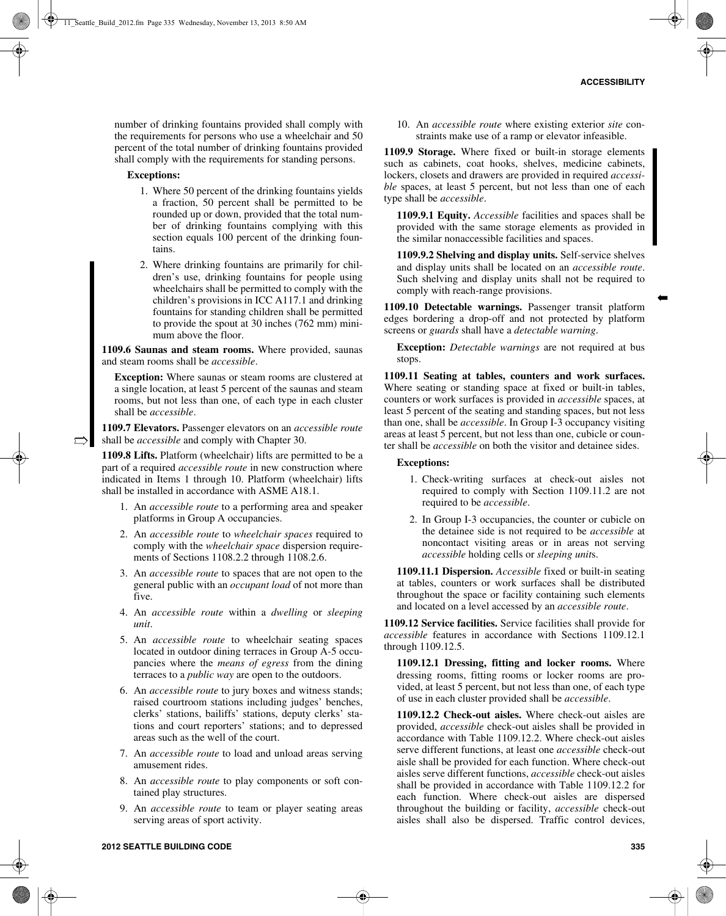➡

number of drinking fountains provided shall comply with the requirements for persons who use a wheelchair and 50 percent of the total number of drinking fountains provided shall comply with the requirements for standing persons.

## **Exceptions:**

 $\Rightarrow$ 

- 1. Where 50 percent of the drinking fountains yields a fraction, 50 percent shall be permitted to be rounded up or down, provided that the total number of drinking fountains complying with this section equals 100 percent of the drinking fountains.
- 2. Where drinking fountains are primarily for children's use, drinking fountains for people using wheelchairs shall be permitted to comply with the children's provisions in ICC A117.1 and drinking fountains for standing children shall be permitted to provide the spout at 30 inches (762 mm) minimum above the floor.

**1109.6 Saunas and steam rooms.** Where provided, saunas and steam rooms shall be *accessible*.

**Exception:** Where saunas or steam rooms are clustered at a single location, at least 5 percent of the saunas and steam rooms, but not less than one, of each type in each cluster shall be *accessible*.

**1109.7 Elevators.** Passenger elevators on an *accessible route* shall be *accessible* and comply with Chapter 30.

**1109.8 Lifts.** Platform (wheelchair) lifts are permitted to be a part of a required *accessible route* in new construction where indicated in Items 1 through 10. Platform (wheelchair) lifts shall be installed in accordance with ASME A18.1.

- 1. An *accessible route* to a performing area and speaker platforms in Group A occupancies.
- 2. An *accessible route* to *wheelchair spaces* required to comply with the *wheelchair space* dispersion requirements of Sections 1108.2.2 through 1108.2.6.
- 3. An *accessible route* to spaces that are not open to the general public with an *occupant load* of not more than five.
- 4. An *accessible route* within a *dwelling* or *sleeping unit*.
- 5. An *accessible route* to wheelchair seating spaces located in outdoor dining terraces in Group A-5 occupancies where the *means of egress* from the dining terraces to a *public way* are open to the outdoors.
- 6. An *accessible route* to jury boxes and witness stands; raised courtroom stations including judges' benches, clerks' stations, bailiffs' stations, deputy clerks' stations and court reporters' stations; and to depressed areas such as the well of the court.
- 7. An *accessible route* to load and unload areas serving amusement rides.
- 8. An *accessible route* to play components or soft contained play structures.
- 9. An *accessible route* to team or player seating areas serving areas of sport activity.

10. An *accessible route* where existing exterior *site* constraints make use of a ramp or elevator infeasible.

**1109.9 Storage.** Where fixed or built-in storage elements such as cabinets, coat hooks, shelves, medicine cabinets, lockers, closets and drawers are provided in required *accessible* spaces, at least 5 percent, but not less than one of each type shall be *accessible*.

**1109.9.1 Equity.** *Accessible* facilities and spaces shall be provided with the same storage elements as provided in the similar nonaccessible facilities and spaces.

**1109.9.2 Shelving and display units.** Self-service shelves and display units shall be located on an *accessible route*. Such shelving and display units shall not be required to comply with reach-range provisions.

**1109.10 Detectable warnings.** Passenger transit platform edges bordering a drop-off and not protected by platform screens or *guards* shall have a *detectable warning*.

**Exception:** *Detectable warnings* are not required at bus stops.

**1109.11 Seating at tables, counters and work surfaces.** Where seating or standing space at fixed or built-in tables, counters or work surfaces is provided in *accessible* spaces, at least 5 percent of the seating and standing spaces, but not less than one, shall be *accessible*. In Group I-3 occupancy visiting areas at least 5 percent, but not less than one, cubicle or counter shall be *accessible* on both the visitor and detainee sides.

## **Exceptions:**

- 1. Check-writing surfaces at check-out aisles not required to comply with Section 1109.11.2 are not required to be *accessible*.
- 2. In Group I-3 occupancies, the counter or cubicle on the detainee side is not required to be *accessible* at noncontact visiting areas or in areas not serving *accessible* holding cells or *sleeping unit*s.

**1109.11.1 Dispersion.** *Accessible* fixed or built-in seating at tables, counters or work surfaces shall be distributed throughout the space or facility containing such elements and located on a level accessed by an *accessible route*.

**1109.12 Service facilities.** Service facilities shall provide for *accessible* features in accordance with Sections 1109.12.1 through 1109.12.5.

**1109.12.1 Dressing, fitting and locker rooms.** Where dressing rooms, fitting rooms or locker rooms are provided, at least 5 percent, but not less than one, of each type of use in each cluster provided shall be *accessible*.

**1109.12.2 Check-out aisles.** Where check-out aisles are provided, *accessible* check-out aisles shall be provided in accordance with Table 1109.12.2. Where check-out aisles serve different functions, at least one *accessible* check-out aisle shall be provided for each function. Where check-out aisles serve different functions, *accessible* check-out aisles shall be provided in accordance with Table 1109.12.2 for each function. Where check-out aisles are dispersed throughout the building or facility, *accessible* check-out aisles shall also be dispersed. Traffic control devices,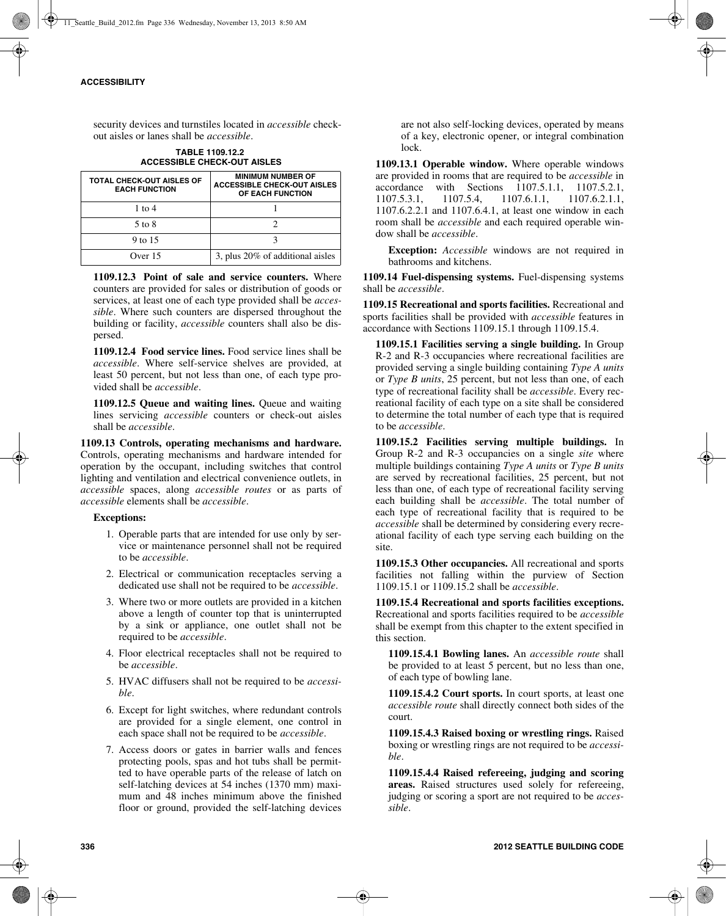security devices and turnstiles located in *accessible* checkout aisles or lanes shall be *accessible*.

**TABLE 1109.12.2 ACCESSIBLE CHECK-OUT AISLES**

| <b>TOTAL CHECK-OUT AISLES OF</b><br><b>EACH FUNCTION</b> | <b>MINIMUM NUMBER OF</b><br><b>ACCESSIBLE CHECK-OUT AISLES</b><br>OF EACH FUNCTION |
|----------------------------------------------------------|------------------------------------------------------------------------------------|
| 1 to $4$                                                 |                                                                                    |
| 5 to 8                                                   |                                                                                    |
| 9 to 15                                                  |                                                                                    |
| Over 15                                                  | 3, plus $20\%$ of additional aisles                                                |

**1109.12.3 Point of sale and service counters.** Where counters are provided for sales or distribution of goods or services, at least one of each type provided shall be *accessible*. Where such counters are dispersed throughout the building or facility, *accessible* counters shall also be dispersed.

**1109.12.4 Food service lines.** Food service lines shall be *accessible*. Where self-service shelves are provided, at least 50 percent, but not less than one, of each type provided shall be *accessible*.

**1109.12.5 Queue and waiting lines.** Queue and waiting lines servicing *accessible* counters or check-out aisles shall be *accessible*.

**1109.13 Controls, operating mechanisms and hardware.** Controls, operating mechanisms and hardware intended for operation by the occupant, including switches that control lighting and ventilation and electrical convenience outlets, in *accessible* spaces, along *accessible routes* or as parts of *accessible* elements shall be *accessible*.

#### **Exceptions:**

- 1. Operable parts that are intended for use only by service or maintenance personnel shall not be required to be *accessible*.
- 2. Electrical or communication receptacles serving a dedicated use shall not be required to be *accessible*.
- 3. Where two or more outlets are provided in a kitchen above a length of counter top that is uninterrupted by a sink or appliance, one outlet shall not be required to be *accessible*.
- 4. Floor electrical receptacles shall not be required to be *accessible*.
- 5. HVAC diffusers shall not be required to be *accessible*.
- 6. Except for light switches, where redundant controls are provided for a single element, one control in each space shall not be required to be *accessible*.
- 7. Access doors or gates in barrier walls and fences protecting pools, spas and hot tubs shall be permitted to have operable parts of the release of latch on self-latching devices at 54 inches (1370 mm) maximum and 48 inches minimum above the finished floor or ground, provided the self-latching devices

are not also self-locking devices, operated by means of a key, electronic opener, or integral combination  $lock$ 

**1109.13.1 Operable window.** Where operable windows are provided in rooms that are required to be *accessible* in accordance with Sections 1107.5.1.1, 1107.5.2.1, 1107.5.3.1, 1107.5.4, 1107.6.1.1, 1107.6.2.1.1, 1107.6.2.1.1, 1107.6.2.2.1 and 1107.6.4.1, at least one window in each room shall be *accessible* and each required operable window shall be *accessible*.

**Exception:** *Accessible* windows are not required in bathrooms and kitchens.

**1109.14 Fuel-dispensing systems.** Fuel-dispensing systems shall be *accessible*.

**1109.15 Recreational and sports facilities.** Recreational and sports facilities shall be provided with *accessible* features in accordance with Sections 1109.15.1 through 1109.15.4.

**1109.15.1 Facilities serving a single building.** In Group R-2 and R-3 occupancies where recreational facilities are provided serving a single building containing *Type A units* or *Type B units*, 25 percent, but not less than one, of each type of recreational facility shall be *accessible*. Every recreational facility of each type on a site shall be considered to determine the total number of each type that is required to be *accessible*.

**1109.15.2 Facilities serving multiple buildings.** In Group R-2 and R-3 occupancies on a single *site* where multiple buildings containing *Type A units* or *Type B units* are served by recreational facilities, 25 percent, but not less than one, of each type of recreational facility serving each building shall be *accessible*. The total number of each type of recreational facility that is required to be *accessible* shall be determined by considering every recreational facility of each type serving each building on the site.

**1109.15.3 Other occupancies.** All recreational and sports facilities not falling within the purview of Section 1109.15.1 or 1109.15.2 shall be *accessible*.

**1109.15.4 Recreational and sports facilities exceptions.** Recreational and sports facilities required to be *accessible* shall be exempt from this chapter to the extent specified in this section.

**1109.15.4.1 Bowling lanes.** An *accessible route* shall be provided to at least 5 percent, but no less than one, of each type of bowling lane.

**1109.15.4.2 Court sports.** In court sports, at least one *accessible route* shall directly connect both sides of the court.

**1109.15.4.3 Raised boxing or wrestling rings.** Raised boxing or wrestling rings are not required to be *accessible*.

**1109.15.4.4 Raised refereeing, judging and scoring areas.** Raised structures used solely for refereeing, judging or scoring a sport are not required to be *accessible*.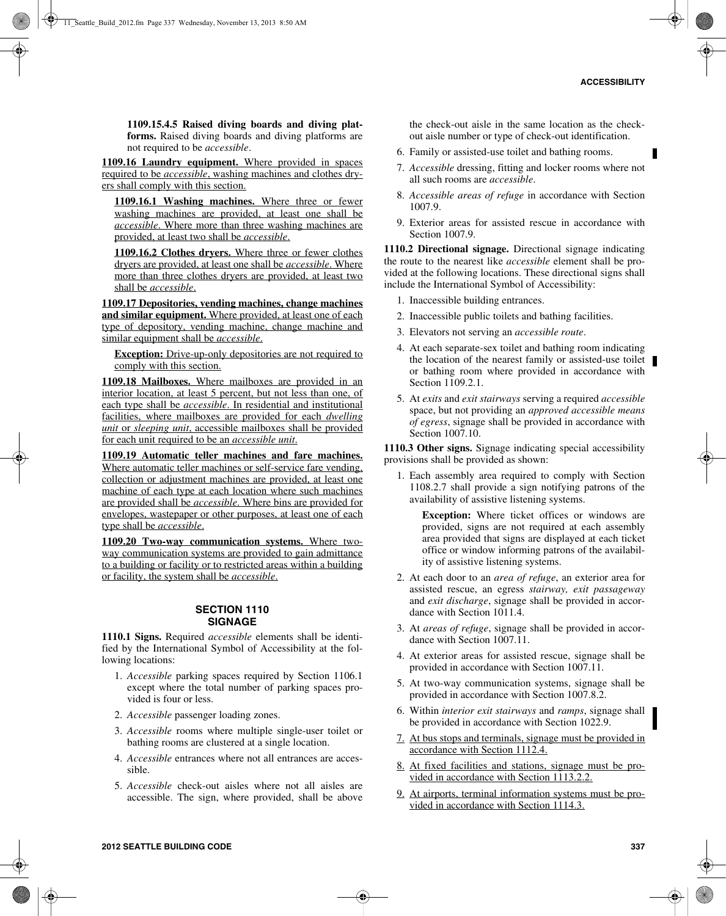**1109.15.4.5 Raised diving boards and diving platforms.** Raised diving boards and diving platforms are not required to be *accessible*.

**1109.16 Laundry equipment.** Where provided in spaces required to be *accessible*, washing machines and clothes dryers shall comply with this section.

**1109.16.1 Washing machines.** Where three or fewer washing machines are provided, at least one shall be *accessible*. Where more than three washing machines are provided, at least two shall be *accessible*.

**1109.16.2 Clothes dryers.** Where three or fewer clothes dryers are provided, at least one shall be *accessible*. Where more than three clothes dryers are provided, at least two shall be *accessible*.

**1109.17 Depositories, vending machines, change machines and similar equipment.** Where provided, at least one of each type of depository, vending machine, change machine and similar equipment shall be *accessible*.

**Exception:** Drive-up-only depositories are not required to comply with this section.

**1109.18 Mailboxes.** Where mailboxes are provided in an interior location, at least 5 percent, but not less than one, of each type shall be *accessible*. In residential and institutional facilities, where mailboxes are provided for each *dwelling unit* or *sleeping unit*, accessible mailboxes shall be provided for each unit required to be an *accessible unit*.

**1109.19 Automatic teller machines and fare machines.** Where automatic teller machines or self-service fare vending, collection or adjustment machines are provided, at least one machine of each type at each location where such machines are provided shall be *accessible*. Where bins are provided for envelopes, wastepaper or other purposes, at least one of each type shall be *accessible*.

**1109.20 Two-way communication systems.** Where twoway communication systems are provided to gain admittance to a building or facility or to restricted areas within a building or facility, the system shall be *accessible*.

#### **SECTION 1110 SIGNAGE**

**1110.1 Signs.** Required *accessible* elements shall be identified by the International Symbol of Accessibility at the following locations:

- 1. *Accessible* parking spaces required by Section 1106.1 except where the total number of parking spaces provided is four or less.
- 2. *Accessible* passenger loading zones.
- 3. *Accessible* rooms where multiple single-user toilet or bathing rooms are clustered at a single location.
- 4. *Accessible* entrances where not all entrances are accessible.
- 5. *Accessible* check-out aisles where not all aisles are accessible. The sign, where provided, shall be above

the check-out aisle in the same location as the checkout aisle number or type of check-out identification.

- 6. Family or assisted-use toilet and bathing rooms.
- 7. *Accessible* dressing, fitting and locker rooms where not all such rooms are *accessible*.
- 8. *Accessible areas of refuge* in accordance with Section 1007.9.
- 9. Exterior areas for assisted rescue in accordance with Section 1007.9.

**1110.2 Directional signage.** Directional signage indicating the route to the nearest like *accessible* element shall be provided at the following locations. These directional signs shall include the International Symbol of Accessibility:

- 1. Inaccessible building entrances.
- 2. Inaccessible public toilets and bathing facilities.
- 3. Elevators not serving an *accessible route*.
- 4. At each separate-sex toilet and bathing room indicating the location of the nearest family or assisted-use toilet or bathing room where provided in accordance with Section 1109.2.1.
- 5. At *exits* and *exit stairways* serving a required *accessible* space, but not providing an *approved accessible means of egress*, signage shall be provided in accordance with Section 1007.10.

**1110.3 Other signs.** Signage indicating special accessibility provisions shall be provided as shown:

1. Each assembly area required to comply with Section 1108.2.7 shall provide a sign notifying patrons of the availability of assistive listening systems.

**Exception:** Where ticket offices or windows are provided, signs are not required at each assembly area provided that signs are displayed at each ticket office or window informing patrons of the availability of assistive listening systems.

- 2. At each door to an *area of refuge*, an exterior area for assisted rescue, an egress *stairway, exit passageway* and *exit discharge*, signage shall be provided in accordance with Section 1011.4.
- 3. At *areas of refuge*, signage shall be provided in accordance with Section 1007.11.
- 4. At exterior areas for assisted rescue, signage shall be provided in accordance with Section 1007.11.
- 5. At two-way communication systems, signage shall be provided in accordance with Section 1007.8.2.
- 6. Within *interior exit stairways* and *ramps*, signage shall be provided in accordance with Section 1022.9.
- 7. At bus stops and terminals, signage must be provided in accordance with Section 1112.4.
- 8. At fixed facilities and stations, signage must be provided in accordance with Section 1113.2.2.
- 9. At airports, terminal information systems must be provided in accordance with Section 1114.3.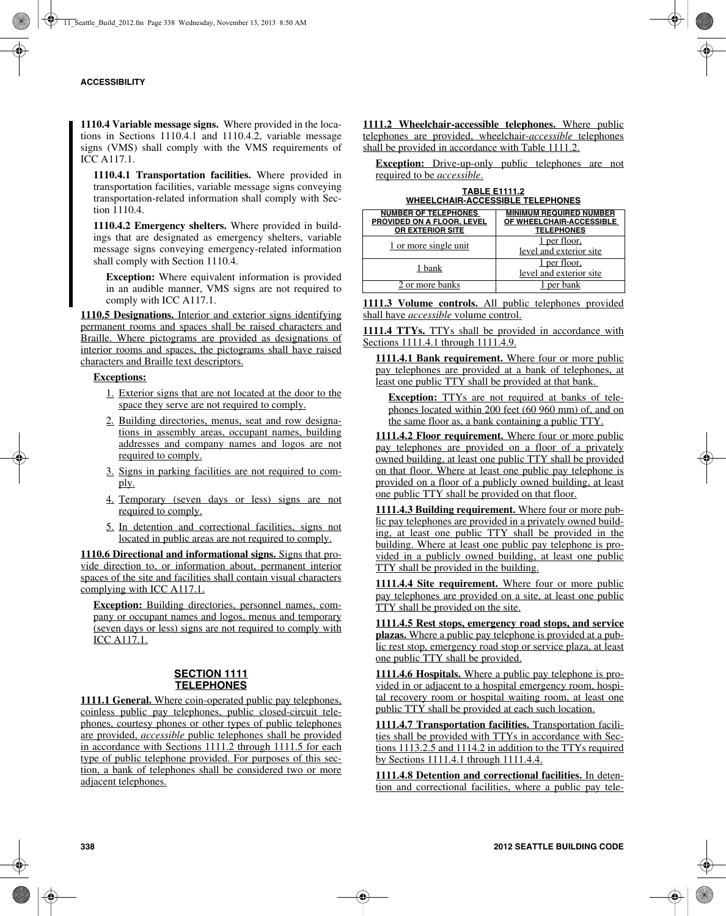**1110.4 Variable message signs.** Where provided in the locations in Sections 1110.4.1 and 1110.4.2, variable message signs (VMS) shall comply with the VMS requirements of ICC A117.1.

**1110.4.1 Transportation facilities.** Where provided in transportation facilities, variable message signs conveying transportation-related information shall comply with Section 1110.4.

**1110.4.2 Emergency shelters.** Where provided in buildings that are designated as emergency shelters, variable message signs conveying emergency-related information shall comply with Section 1110.4.

**Exception:** Where equivalent information is provided in an audible manner, VMS signs are not required to comply with ICC A117.1.

**1110.5 Designations.** Interior and exterior signs identifying permanent rooms and spaces shall be raised characters and Braille. Where pictograms are provided as designations of interior rooms and spaces, the pictograms shall have raised characters and Braille text descriptors.

## **Exceptions:**

- 1. Exterior signs that are not located at the door to the space they serve are not required to comply.
- 2. Building directories, menus, seat and row designations in assembly areas, occupant names, building addresses and company names and logos are not required to comply.
- 3. Signs in parking facilities are not required to comply.
- 4. Temporary (seven days or less) signs are not required to comply.
- 5. In detention and correctional facilities, signs not located in public areas are not required to comply.

**1110.6 Directional and informational signs.** Signs that provide direction to, or information about, permanent interior spaces of the site and facilities shall contain visual characters complying with ICC A117.1.

**Exception:** Building directories, personnel names, company or occupant names and logos, menus and temporary (seven days or less) signs are not required to comply with ICC A117.1.

## **SECTION 1111 TELEPHONES**

**1111.1 General.** Where coin-operated public pay telephones, coinless public pay telephones, public closed-circuit telephones, courtesy phones or other types of public telephones are provided, *accessible* public telephones shall be provided in accordance with Sections 1111.2 through 1111.5 for each type of public telephone provided. For purposes of this section, a bank of telephones shall be considered two or more adjacent telephones.

**1111.2 Wheelchair-accessible telephones.** Where public telephones are provided, wheelchair-*accessible* telephones shall be provided in accordance with Table 1111.2.

**Exception:** Drive-up-only public telephones are not required to be *accessible*.

**TABLE E1111.2 WHEELCHAIR-ACCESSIBLE TELEPHONES**

| <b>NUMBER OF TELEPHONES</b><br>PROVIDED ON A FLOOR. LEVEL<br><b>OR EXTERIOR SITE</b> | <b>MINIMUM REQUIRED NUMBER</b><br>OF WHEELCHAIR-ACCESSIBLE<br><b>TELEPHONES</b> |
|--------------------------------------------------------------------------------------|---------------------------------------------------------------------------------|
| 1 or more single unit                                                                | per floor.<br>level and exterior site                                           |
| 1 bank                                                                               | per floor.<br>level and exterior site                                           |
| 2 or more banks                                                                      |                                                                                 |

**1111.3 Volume controls.** All public telephones provided shall have *accessible* volume control.

**1111.4 TTYs.** TTYs shall be provided in accordance with Sections 1111.4.1 through 1111.4.9.

**1111.4.1 Bank requirement.** Where four or more public pay telephones are provided at a bank of telephones, at least one public TTY shall be provided at that bank.

**Exception:** TTYs are not required at banks of telephones located within 200 feet (60 960 mm) of, and on the same floor as, a bank containing a public TTY.

**1111.4.2 Floor requirement.** Where four or more public pay telephones are provided on a floor of a privately owned building, at least one public TTY shall be provided on that floor. Where at least one public pay telephone is provided on a floor of a publicly owned building, at least one public TTY shall be provided on that floor.

**1111.4.3 Building requirement.** Where four or more public pay telephones are provided in a privately owned building, at least one public TTY shall be provided in the building. Where at least one public pay telephone is provided in a publicly owned building, at least one public TTY shall be provided in the building.

**1111.4.4 Site requirement.** Where four or more public pay telephones are provided on a site, at least one public TTY shall be provided on the site.

**1111.4.5 Rest stops, emergency road stops, and service plazas.** Where a public pay telephone is provided at a public rest stop, emergency road stop or service plaza, at least one public TTY shall be provided.

**1111.4.6 Hospitals.** Where a public pay telephone is provided in or adjacent to a hospital emergency room, hospital recovery room or hospital waiting room, at least one public TTY shall be provided at each such location.

**1111.4.7 Transportation facilities.** Transportation facilities shall be provided with TTYs in accordance with Sections 1113.2.5 and 1114.2 in addition to the TTYs required by Sections 1111.4.1 through 1111.4.4.

**1111.4.8 Detention and correctional facilities.** In detention and correctional facilities, where a public pay tele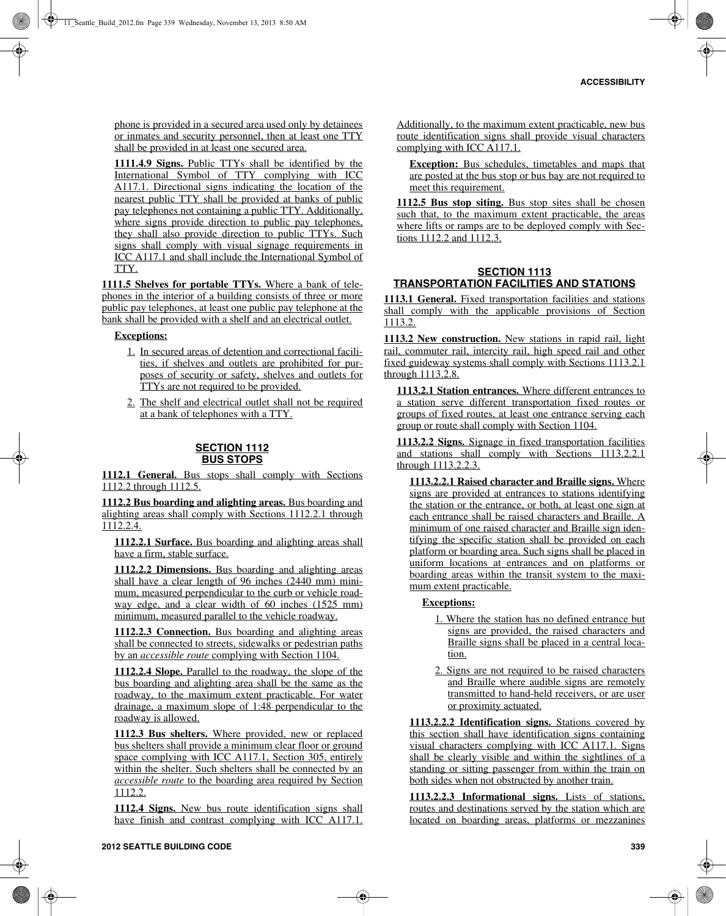phone is provided in a secured area used only by detainees or inmates and security personnel, then at least one TTY shall be provided in at least one secured area.

**1111.4.9 Signs.** Public TTYs shall be identified by the International Symbol of TTY complying with ICC A117.1. Directional signs indicating the location of the nearest public TTY shall be provided at banks of public pay telephones not containing a public TTY. Additionally, where signs provide direction to public pay telephones, they shall also provide direction to public TTYs. Such signs shall comply with visual signage requirements in ICC A117.1 and shall include the International Symbol of TTY.

**1111.5 Shelves for portable TTYs.** Where a bank of telephones in the interior of a building consists of three or more public pay telephones, at least one public pay telephone at the bank shall be provided with a shelf and an electrical outlet.

#### **Exceptions:**

- 1. In secured areas of detention and correctional facilities, if shelves and outlets are prohibited for purposes of security or safety, shelves and outlets for TTYs are not required to be provided.
- 2. The shelf and electrical outlet shall not be required at a bank of telephones with a TTY.

#### **SECTION 1112 BUS STOPS**

1112.1 General. Bus stops shall comply with Sections 1112.2 through 1112.5.

**1112.2 Bus boarding and alighting areas.** Bus boarding and alighting areas shall comply with Sections 1112.2.1 through 1112.2.4.

**1112.2.1 Surface.** Bus boarding and alighting areas shall have a firm, stable surface.

**1112.2.2 Dimensions.** Bus boarding and alighting areas shall have a clear length of 96 inches (2440 mm) minimum, measured perpendicular to the curb or vehicle roadway edge, and a clear width of 60 inches (1525 mm) minimum, measured parallel to the vehicle roadway.

**1112.2.3 Connection.** Bus boarding and alighting areas shall be connected to streets, sidewalks or pedestrian paths by an *accessible route* complying with Section 1104.

**1112.2.4 Slope.** Parallel to the roadway, the slope of the bus boarding and alighting area shall be the same as the roadway, to the maximum extent practicable. For water drainage, a maximum slope of 1:48 perpendicular to the roadway is allowed.

**1112.3 Bus shelters.** Where provided, new or replaced bus shelters shall provide a minimum clear floor or ground space complying with ICC A117.1, Section 305, entirely within the shelter. Such shelters shall be connected by an *accessible route* to the boarding area required by Section 1112.2.

**1112.4 Signs.** New bus route identification signs shall have finish and contrast complying with ICC A117.1.

Additionally, to the maximum extent practicable, new bus route identification signs shall provide visual characters complying with ICC A117.1.

**Exception:** Bus schedules, timetables and maps that are posted at the bus stop or bus bay are not required to meet this requirement.

**1112.5 Bus stop siting.** Bus stop sites shall be chosen such that, to the maximum extent practicable, the areas where lifts or ramps are to be deployed comply with Sections  $1112.2$  and  $1112.3$ .

## **SECTION 1113 TRANSPORTATION FACILITIES AND STATIONS**

**1113.1 General.** Fixed transportation facilities and stations shall comply with the applicable provisions of Section 1113.2.

**1113.2 New construction.** New stations in rapid rail, light rail, commuter rail, intercity rail, high speed rail and other fixed guideway systems shall comply with Sections 1113.2.1 through 1113.2.8.

**1113.2.1 Station entrances.** Where different entrances to a station serve different transportation fixed routes or groups of fixed routes, at least one entrance serving each group or route shall comply with Section 1104.

**1113.2.2 Signs.** Signage in fixed transportation facilities and stations shall comply with Sections 1113.2.2.1 through 1113.2.2.3.

**1113.2.2.1 Raised character and Braille signs.** Where signs are provided at entrances to stations identifying the station or the entrance, or both, at least one sign at each entrance shall be raised characters and Braille. A minimum of one raised character and Braille sign identifying the specific station shall be provided on each platform or boarding area. Such signs shall be placed in uniform locations at entrances and on platforms or boarding areas within the transit system to the maximum extent practicable.

#### **Exceptions:**

- 1. Where the station has no defined entrance but signs are provided, the raised characters and Braille signs shall be placed in a central location.
- 2. Signs are not required to be raised characters and Braille where audible signs are remotely transmitted to hand-held receivers, or are user or proximity actuated.

**1113.2.2.2 Identification signs.** Stations covered by this section shall have identification signs containing visual characters complying with ICC A117.1. Signs shall be clearly visible and within the sightlines of a standing or sitting passenger from within the train on both sides when not obstructed by another train.

**1113.2.2.3 Informational signs.** Lists of stations, routes and destinations served by the station which are located on boarding areas, platforms or mezzanines